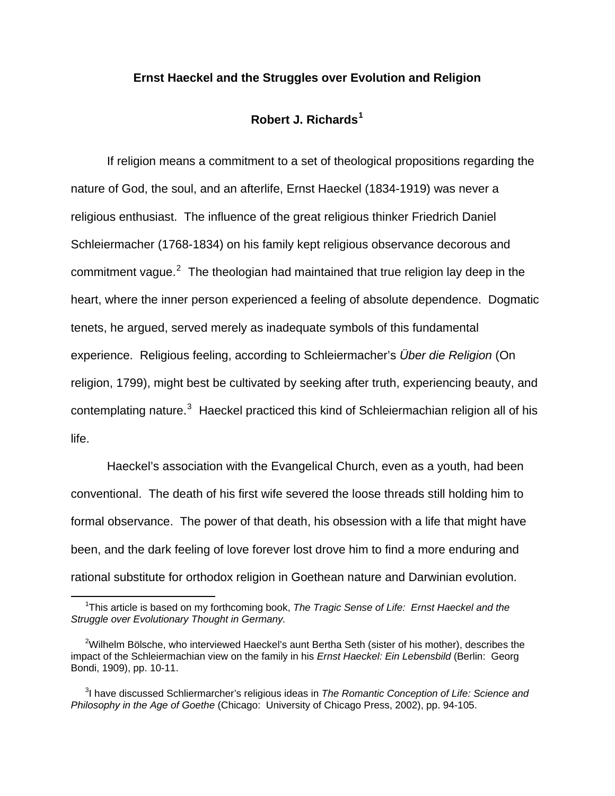## **Ernst Haeckel and the Struggles over Evolution and Religion**

## **Robert J. Richards[1](#page-0-0)**

 If religion means a commitment to a set of theological propositions regarding the nature of God, the soul, and an afterlife, Ernst Haeckel (1834-1919) was never a religious enthusiast. The influence of the great religious thinker Friedrich Daniel Schleiermacher (1768-1834) on his family kept religious observance decorous and commitment vague.<sup>[2](#page-0-1)</sup> The theologian had maintained that true religion lay deep in the heart, where the inner person experienced a feeling of absolute dependence. Dogmatic tenets, he argued, served merely as inadequate symbols of this fundamental experience. Religious feeling, according to Schleiermacher's *Über die Religion* (On religion, 1799), might best be cultivated by seeking after truth, experiencing beauty, and contemplating nature.<sup>[3](#page-0-2)</sup> Haeckel practiced this kind of Schleiermachian religion all of his life.

 Haeckel's association with the Evangelical Church, even as a youth, had been conventional. The death of his first wife severed the loose threads still holding him to formal observance. The power of that death, his obsession with a life that might have been, and the dark feeling of love forever lost drove him to find a more enduring and rational substitute for orthodox religion in Goethean nature and Darwinian evolution.

 $\overline{\phantom{0}}$  1 <sup>1</sup>This article is based on my forthcoming book, *The Tragic Sense of Life: Ernst Haeckel and the Struggle over Evolutionary Thought in Germany.* 

<span id="page-0-1"></span><span id="page-0-0"></span> $2$ Wilhelm Bölsche, who interviewed Haeckel's aunt Bertha Seth (sister of his mother), describes the impact of the Schleiermachian view on the family in his *Ernst Haeckel: Ein Lebensbild* (Berlin: Georg Bondi, 1909), pp. 10-11.

<span id="page-0-2"></span><sup>3</sup> I have discussed Schliermarcher's religious ideas in *The Romantic Conception of Life: Science and Philosophy in the Age of Goethe* (Chicago: University of Chicago Press, 2002), pp. 94-105.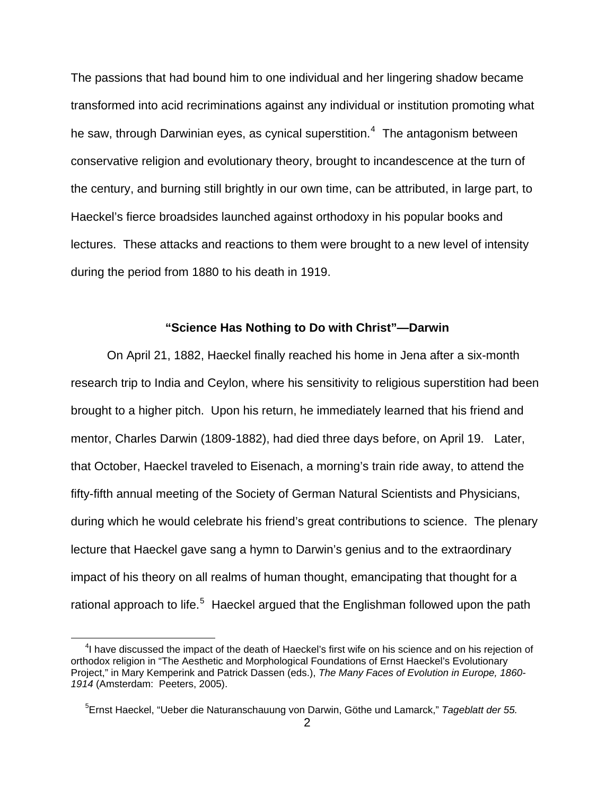The passions that had bound him to one individual and her lingering shadow became transformed into acid recriminations against any individual or institution promoting what he saw, through Darwinian eyes, as cynical superstition.<sup>[4](#page-1-0)</sup> The antagonism between conservative religion and evolutionary theory, brought to incandescence at the turn of the century, and burning still brightly in our own time, can be attributed, in large part, to Haeckel's fierce broadsides launched against orthodoxy in his popular books and lectures. These attacks and reactions to them were brought to a new level of intensity during the period from 1880 to his death in 1919.

## **"Science Has Nothing to Do with Christ"—Darwin**

 On April 21, 1882, Haeckel finally reached his home in Jena after a six-month research trip to India and Ceylon, where his sensitivity to religious superstition had been brought to a higher pitch. Upon his return, he immediately learned that his friend and mentor, Charles Darwin (1809-1882), had died three days before, on April 19. Later, that October, Haeckel traveled to Eisenach, a morning's train ride away, to attend the fifty-fifth annual meeting of the Society of German Natural Scientists and Physicians, during which he would celebrate his friend's great contributions to science. The plenary lecture that Haeckel gave sang a hymn to Darwin's genius and to the extraordinary impact of his theory on all realms of human thought, emancipating that thought for a rational approach to life.<sup>[5](#page-1-1)</sup> Haeckel argued that the Englishman followed upon the path

<span id="page-1-0"></span><sup>&</sup>lt;sup>4</sup>I have discussed the impact of the death of Haeckel's first wife on his science and on his rejection of orthodox religion in "The Aesthetic and Morphological Foundations of Ernst Haeckel's Evolutionary Project," in Mary Kemperink and Patrick Dassen (eds.), *The Many Faces of Evolution in Europe, 1860- 1914* (Amsterdam: Peeters, 2005).

<span id="page-1-1"></span><sup>5</sup> Ernst Haeckel, "Ueber die Naturanschauung von Darwin, Göthe und Lamarck," *Tageblatt der 55.*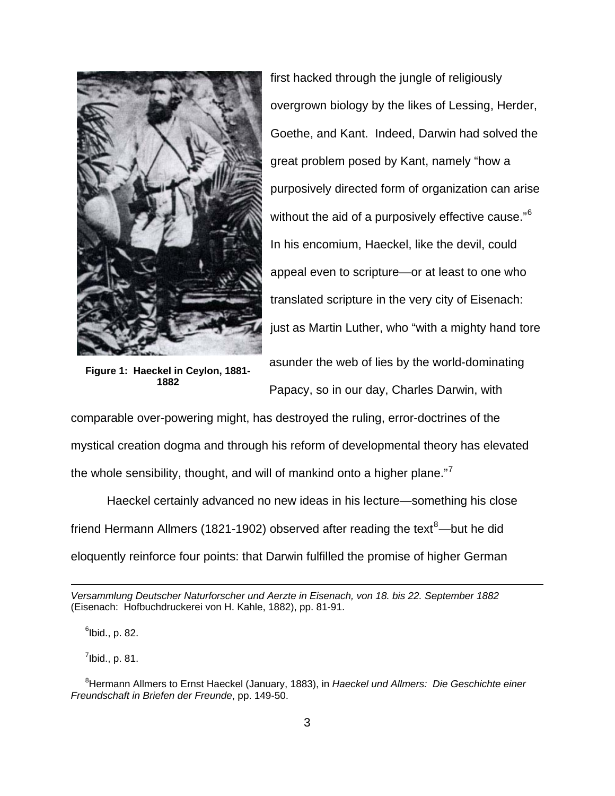

**Figure 1: Haeckel in Ceylon, 1881- 1882** 

first hacked through the jungle of religiously overgrown biology by the likes of Lessing, Herder, Goethe, and Kant. Indeed, Darwin had solved the great problem posed by Kant, namely "how a purposively directed form of organization can arise without the aid of a purposively effective cause."<sup>[6](#page-2-0)</sup> In his encomium, Haeckel, like the devil, could appeal even to scripture—or at least to one who translated scripture in the very city of Eisenach: just as Martin Luther, who "with a mighty hand tore

asunder the web of lies by the world-dominating Papacy, so in our day, Charles Darwin, with

comparable over-powering might, has destroyed the ruling, error-doctrines of the mystical creation dogma and through his reform of developmental theory has elevated the whole sensibility, thought, and will of mankind onto a higher plane."<sup>[7](#page-2-1)</sup>

 Haeckel certainly advanced no new ideas in his lecture—something his close friend Hermann Allmers (1[8](#page-2-2)21-1902) observed after reading the text<sup>8</sup>—but he did eloquently reinforce four points: that Darwin fulfilled the promise of higher German

 $^6$ lbid., p. 82.

l

 $^7$ lbid., p. 81.

*Versammlung Deutscher Naturforscher und Aerzte in Eisenach, von 18. bis 22. September 1882* (Eisenach: Hofbuchdruckerei von H. Kahle, 1882), pp. 81-91.

<span id="page-2-2"></span><span id="page-2-1"></span><span id="page-2-0"></span><sup>8</sup> Hermann Allmers to Ernst Haeckel (January, 1883), in *Haeckel und Allmers: Die Geschichte einer Freundschaft in Briefen der Freunde*, pp. 149-50.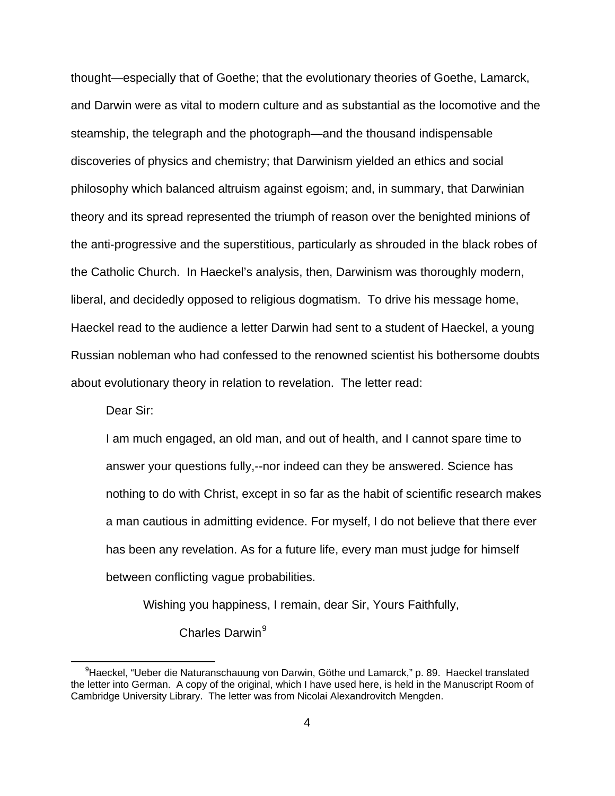thought—especially that of Goethe; that the evolutionary theories of Goethe, Lamarck, and Darwin were as vital to modern culture and as substantial as the locomotive and the steamship, the telegraph and the photograph—and the thousand indispensable discoveries of physics and chemistry; that Darwinism yielded an ethics and social philosophy which balanced altruism against egoism; and, in summary, that Darwinian theory and its spread represented the triumph of reason over the benighted minions of the anti-progressive and the superstitious, particularly as shrouded in the black robes of the Catholic Church. In Haeckel's analysis, then, Darwinism was thoroughly modern, liberal, and decidedly opposed to religious dogmatism. To drive his message home, Haeckel read to the audience a letter Darwin had sent to a student of Haeckel, a young Russian nobleman who had confessed to the renowned scientist his bothersome doubts about evolutionary theory in relation to revelation. The letter read:

Dear Sir:

l

I am much engaged, an old man, and out of health, and I cannot spare time to answer your questions fully,--nor indeed can they be answered. Science has nothing to do with Christ, except in so far as the habit of scientific research makes a man cautious in admitting evidence. For myself, I do not believe that there ever has been any revelation. As for a future life, every man must judge for himself between conflicting vague probabilities.

Wishing you happiness, I remain, dear Sir, Yours Faithfully,

Charles Darwin<sup>[9](#page-3-0)</sup>

<span id="page-3-0"></span><sup>&</sup>lt;sup>9</sup>Haeckel, "Ueber die Naturanschauung von Darwin, Göthe und Lamarck," p. 89. Haeckel translated the letter into German. A copy of the original, which I have used here, is held in the Manuscript Room of Cambridge University Library. The letter was from Nicolai Alexandrovitch Mengden.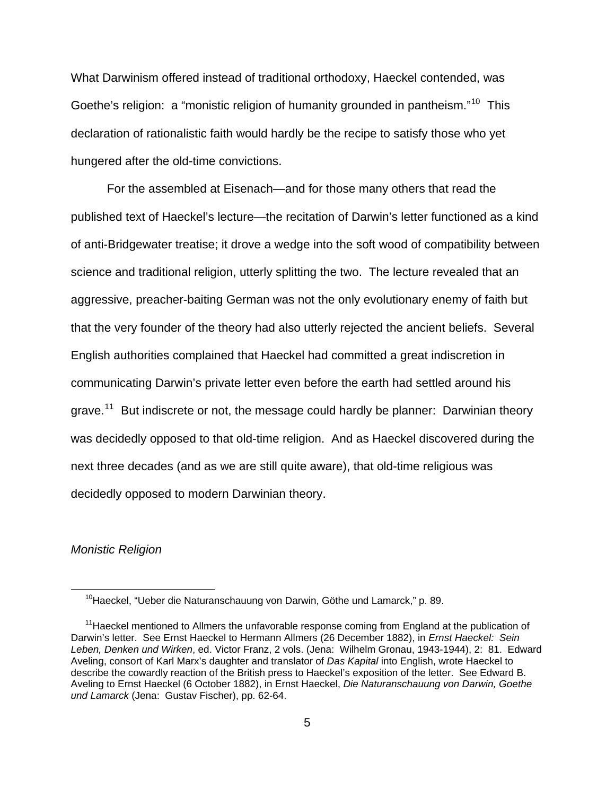What Darwinism offered instead of traditional orthodoxy, Haeckel contended, was Goethe's religion: a "monistic religion of humanity grounded in pantheism."<sup>[10](#page-4-0)</sup> This declaration of rationalistic faith would hardly be the recipe to satisfy those who yet hungered after the old-time convictions.

 For the assembled at Eisenach—and for those many others that read the published text of Haeckel's lecture—the recitation of Darwin's letter functioned as a kind of anti-Bridgewater treatise; it drove a wedge into the soft wood of compatibility between science and traditional religion, utterly splitting the two. The lecture revealed that an aggressive, preacher-baiting German was not the only evolutionary enemy of faith but that the very founder of the theory had also utterly rejected the ancient beliefs. Several English authorities complained that Haeckel had committed a great indiscretion in communicating Darwin's private letter even before the earth had settled around his grave.<sup>[11](#page-4-1)</sup> But indiscrete or not, the message could hardly be planner: Darwinian theory was decidedly opposed to that old-time religion. And as Haeckel discovered during the next three decades (and as we are still quite aware), that old-time religious was decidedly opposed to modern Darwinian theory.

### *Monistic Religion*

<sup>&</sup>lt;sup>10</sup>Haeckel, "Ueber die Naturanschauung von Darwin, Göthe und Lamarck," p. 89.

<span id="page-4-1"></span><span id="page-4-0"></span><sup>&</sup>lt;sup>11</sup> Haeckel mentioned to Allmers the unfavorable response coming from England at the publication of Darwin's letter. See Ernst Haeckel to Hermann Allmers (26 December 1882), in *Ernst Haeckel: Sein Leben, Denken und Wirken*, ed. Victor Franz, 2 vols. (Jena: Wilhelm Gronau, 1943-1944), 2: 81. Edward Aveling, consort of Karl Marx's daughter and translator of *Das Kapital* into English, wrote Haeckel to describe the cowardly reaction of the British press to Haeckel's exposition of the letter. See Edward B. Aveling to Ernst Haeckel (6 October 1882), in Ernst Haeckel, *Die Naturanschauung von Darwin, Goethe und Lamarck* (Jena: Gustav Fischer), pp. 62-64.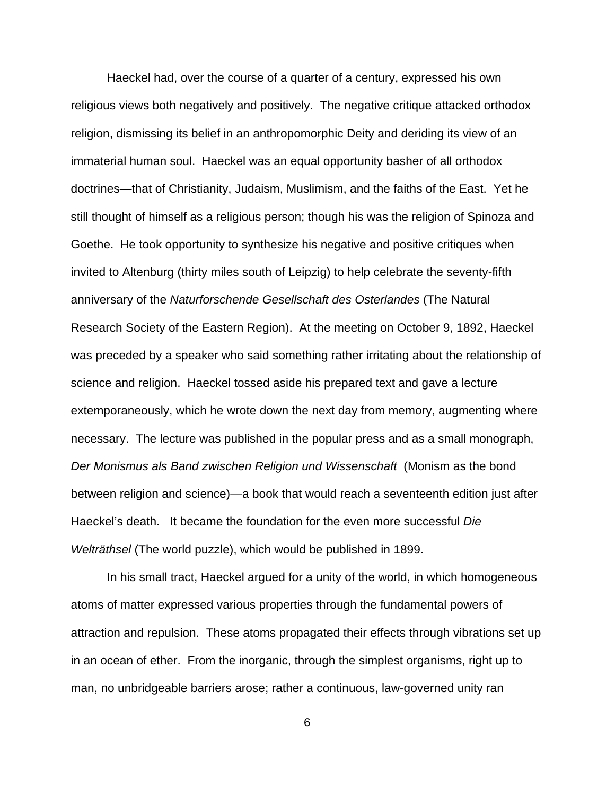Haeckel had, over the course of a quarter of a century, expressed his own religious views both negatively and positively. The negative critique attacked orthodox religion, dismissing its belief in an anthropomorphic Deity and deriding its view of an immaterial human soul. Haeckel was an equal opportunity basher of all orthodox doctrines—that of Christianity, Judaism, Muslimism, and the faiths of the East. Yet he still thought of himself as a religious person; though his was the religion of Spinoza and Goethe. He took opportunity to synthesize his negative and positive critiques when invited to Altenburg (thirty miles south of Leipzig) to help celebrate the seventy-fifth anniversary of the *Naturforschende Gesellschaft des Osterlandes* (The Natural Research Society of the Eastern Region). At the meeting on October 9, 1892, Haeckel was preceded by a speaker who said something rather irritating about the relationship of science and religion. Haeckel tossed aside his prepared text and gave a lecture extemporaneously, which he wrote down the next day from memory, augmenting where necessary. The lecture was published in the popular press and as a small monograph, *Der Monismus als Band zwischen Religion und Wissenschaft* (Monism as the bond between religion and science)—a book that would reach a seventeenth edition just after Haeckel's death. It became the foundation for the even more successful *Die Welträthsel* (The world puzzle), which would be published in 1899.

 In his small tract, Haeckel argued for a unity of the world, in which homogeneous atoms of matter expressed various properties through the fundamental powers of attraction and repulsion. These atoms propagated their effects through vibrations set up in an ocean of ether. From the inorganic, through the simplest organisms, right up to man, no unbridgeable barriers arose; rather a continuous, law-governed unity ran

6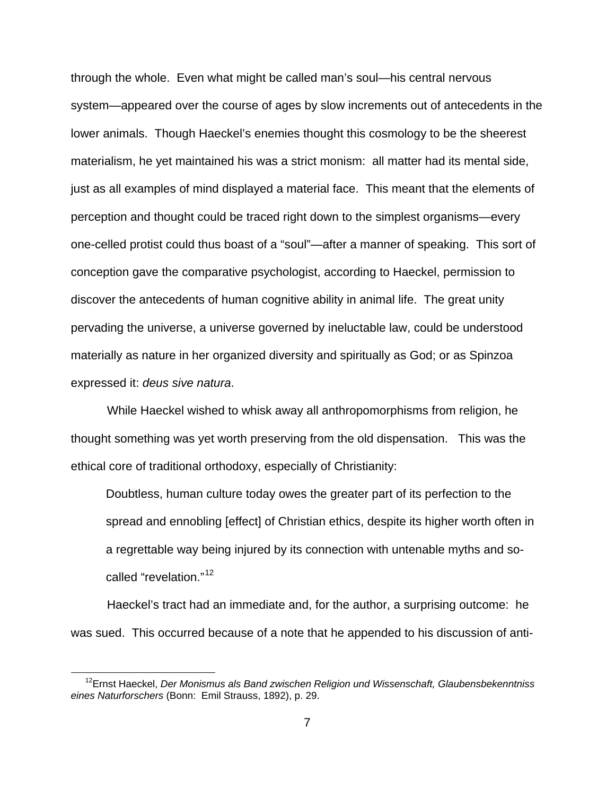through the whole. Even what might be called man's soul—his central nervous system—appeared over the course of ages by slow increments out of antecedents in the lower animals. Though Haeckel's enemies thought this cosmology to be the sheerest materialism, he yet maintained his was a strict monism: all matter had its mental side, just as all examples of mind displayed a material face. This meant that the elements of perception and thought could be traced right down to the simplest organisms—every one-celled protist could thus boast of a "soul"—after a manner of speaking. This sort of conception gave the comparative psychologist, according to Haeckel, permission to discover the antecedents of human cognitive ability in animal life. The great unity pervading the universe, a universe governed by ineluctable law, could be understood materially as nature in her organized diversity and spiritually as God; or as Spinzoa expressed it: *deus sive natura*.

 While Haeckel wished to whisk away all anthropomorphisms from religion, he thought something was yet worth preserving from the old dispensation. This was the ethical core of traditional orthodoxy, especially of Christianity:

Doubtless, human culture today owes the greater part of its perfection to the spread and ennobling [effect] of Christian ethics, despite its higher worth often in a regrettable way being injured by its connection with untenable myths and so-called "revelation."<sup>[12](#page-6-0)</sup>

 Haeckel's tract had an immediate and, for the author, a surprising outcome: he was sued. This occurred because of a note that he appended to his discussion of anti-

<span id="page-6-0"></span><sup>12</sup>Ernst Haeckel, *Der Monismus als Band zwischen Religion und Wissenschaft, Glaubensbekenntniss eines Naturforschers* (Bonn: Emil Strauss, 1892), p. 29.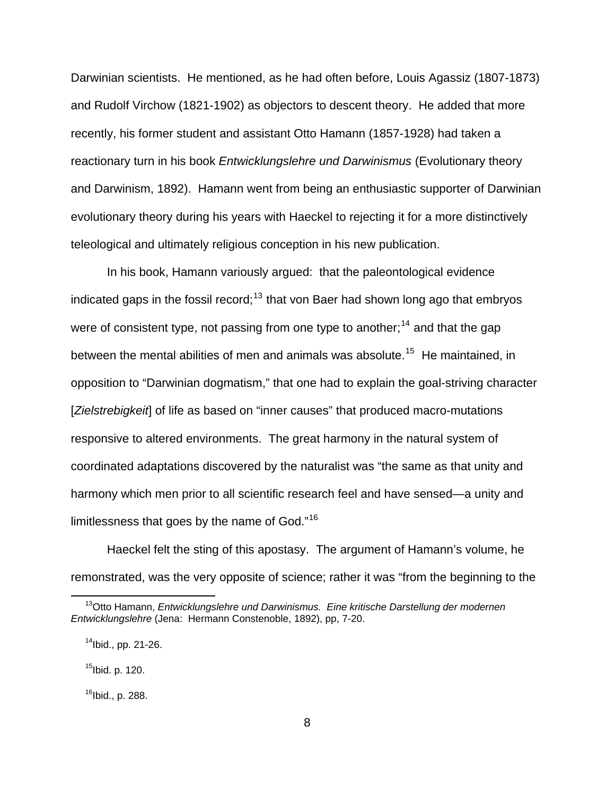Darwinian scientists. He mentioned, as he had often before, Louis Agassiz (1807-1873) and Rudolf Virchow (1821-1902) as objectors to descent theory. He added that more recently, his former student and assistant Otto Hamann (1857-1928) had taken a reactionary turn in his book *Entwicklungslehre und Darwinismus* (Evolutionary theory and Darwinism, 1892). Hamann went from being an enthusiastic supporter of Darwinian evolutionary theory during his years with Haeckel to rejecting it for a more distinctively teleological and ultimately religious conception in his new publication.

 In his book, Hamann variously argued: that the paleontological evidence indicated gaps in the fossil record;<sup>[13](#page-7-0)</sup> that von Baer had shown long ago that embryos were of consistent type, not passing from one type to another;<sup>[14](#page-7-1)</sup> and that the gap between the mental abilities of men and animals was absolute.<sup>[15](#page-7-2)</sup> He maintained, in opposition to "Darwinian dogmatism," that one had to explain the goal-striving character [*Zielstrebigkeit*] of life as based on "inner causes" that produced macro-mutations responsive to altered environments. The great harmony in the natural system of coordinated adaptations discovered by the naturalist was "the same as that unity and harmony which men prior to all scientific research feel and have sensed—a unity and limitlessness that goes by the name of God."[16](#page-7-3)

 Haeckel felt the sting of this apostasy. The argument of Hamann's volume, he remonstrated, was the very opposite of science; rather it was "from the beginning to the

<span id="page-7-2"></span> $15$ Ibid. p. 120.

l

<span id="page-7-3"></span> $16$ Ibid., p. 288.

<span id="page-7-0"></span><sup>13</sup>Otto Hamann, *Entwicklungslehre und Darwinismus. Eine kritische Darstellung der modernen Entwicklungslehre* (Jena: Hermann Constenoble, 1892), pp, 7-20.

<span id="page-7-1"></span> $14$ Ibid., pp. 21-26.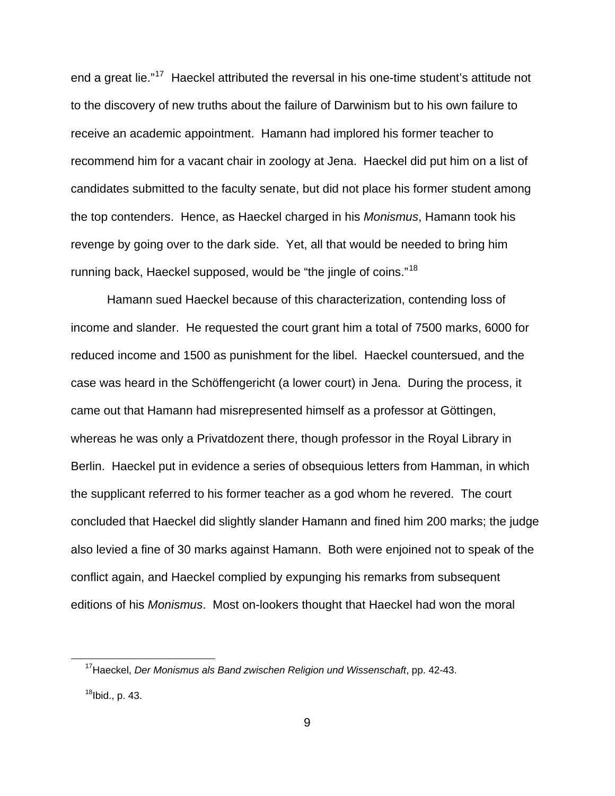end a great lie."<sup>[17](#page-8-0)</sup> Haeckel attributed the reversal in his one-time student's attitude not to the discovery of new truths about the failure of Darwinism but to his own failure to receive an academic appointment. Hamann had implored his former teacher to recommend him for a vacant chair in zoology at Jena. Haeckel did put him on a list of candidates submitted to the faculty senate, but did not place his former student among the top contenders. Hence, as Haeckel charged in his *Monismus*, Hamann took his revenge by going over to the dark side. Yet, all that would be needed to bring him running back, Haeckel supposed, would be "the jingle of coins."<sup>[18](#page-8-1)</sup>

 Hamann sued Haeckel because of this characterization, contending loss of income and slander. He requested the court grant him a total of 7500 marks, 6000 for reduced income and 1500 as punishment for the libel. Haeckel countersued, and the case was heard in the Schöffengericht (a lower court) in Jena. During the process, it came out that Hamann had misrepresented himself as a professor at Göttingen, whereas he was only a Privatdozent there, though professor in the Royal Library in Berlin. Haeckel put in evidence a series of obsequious letters from Hamman, in which the supplicant referred to his former teacher as a god whom he revered. The court concluded that Haeckel did slightly slander Hamann and fined him 200 marks; the judge also levied a fine of 30 marks against Hamann. Both were enjoined not to speak of the conflict again, and Haeckel complied by expunging his remarks from subsequent editions of his *Monismus*. Most on-lookers thought that Haeckel had won the moral

<span id="page-8-0"></span><sup>17</sup>Haeckel, *Der Monismus als Band zwischen Religion und Wissenschaft*, pp. 42-43.

<span id="page-8-1"></span> $18$ Ibid., p. 43.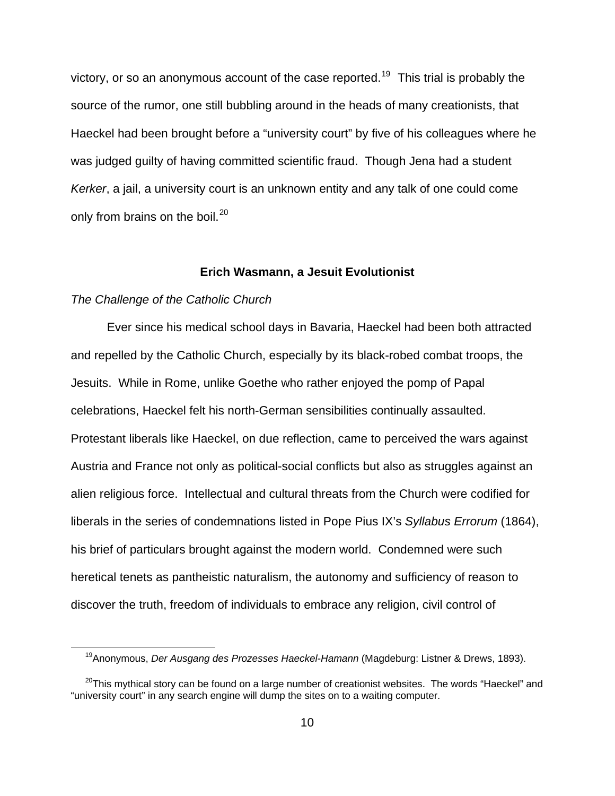victory, or so an anonymous account of the case reported.<sup>[19](#page-9-0)</sup> This trial is probably the source of the rumor, one still bubbling around in the heads of many creationists, that Haeckel had been brought before a "university court" by five of his colleagues where he was judged guilty of having committed scientific fraud. Though Jena had a student *Kerker*, a jail, a university court is an unknown entity and any talk of one could come only from brains on the boil.<sup>[20](#page-9-1)</sup>

### **Erich Wasmann, a Jesuit Evolutionist**

#### *The Challenge of the Catholic Church*

l

Ever since his medical school days in Bavaria, Haeckel had been both attracted and repelled by the Catholic Church, especially by its black-robed combat troops, the Jesuits. While in Rome, unlike Goethe who rather enjoyed the pomp of Papal celebrations, Haeckel felt his north-German sensibilities continually assaulted. Protestant liberals like Haeckel, on due reflection, came to perceived the wars against Austria and France not only as political-social conflicts but also as struggles against an alien religious force. Intellectual and cultural threats from the Church were codified for liberals in the series of condemnations listed in Pope Pius IX's *Syllabus Errorum* (1864), his brief of particulars brought against the modern world. Condemned were such heretical tenets as pantheistic naturalism, the autonomy and sufficiency of reason to discover the truth, freedom of individuals to embrace any religion, civil control of

<sup>19</sup>Anonymous, *Der Ausgang des Prozesses Haeckel-Hamann* (Magdeburg: Listner & Drews, 1893).

<span id="page-9-1"></span><span id="page-9-0"></span> $20$ This mythical story can be found on a large number of creationist websites. The words "Haeckel" and "university court" in any search engine will dump the sites on to a waiting computer.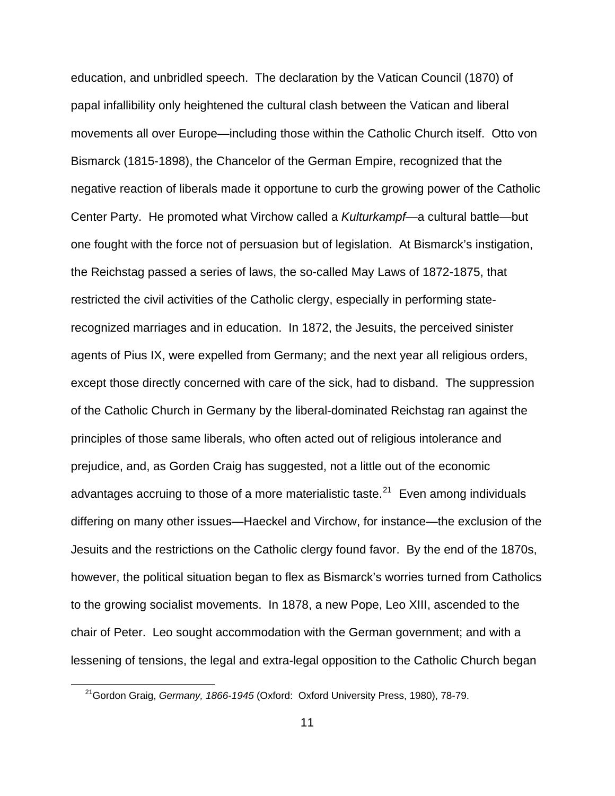education, and unbridled speech. The declaration by the Vatican Council (1870) of papal infallibility only heightened the cultural clash between the Vatican and liberal movements all over Europe—including those within the Catholic Church itself. Otto von Bismarck (1815-1898), the Chancelor of the German Empire, recognized that the negative reaction of liberals made it opportune to curb the growing power of the Catholic Center Party. He promoted what Virchow called a *Kulturkampf*—a cultural battle—but one fought with the force not of persuasion but of legislation. At Bismarck's instigation, the Reichstag passed a series of laws, the so-called May Laws of 1872-1875, that restricted the civil activities of the Catholic clergy, especially in performing staterecognized marriages and in education. In 1872, the Jesuits, the perceived sinister agents of Pius IX, were expelled from Germany; and the next year all religious orders, except those directly concerned with care of the sick, had to disband. The suppression of the Catholic Church in Germany by the liberal-dominated Reichstag ran against the principles of those same liberals, who often acted out of religious intolerance and prejudice, and, as Gorden Craig has suggested, not a little out of the economic advantages accruing to those of a more materialistic taste. $21$  Even among individuals differing on many other issues—Haeckel and Virchow, for instance—the exclusion of the Jesuits and the restrictions on the Catholic clergy found favor. By the end of the 1870s, however, the political situation began to flex as Bismarck's worries turned from Catholics to the growing socialist movements. In 1878, a new Pope, Leo XIII, ascended to the chair of Peter. Leo sought accommodation with the German government; and with a lessening of tensions, the legal and extra-legal opposition to the Catholic Church began

<span id="page-10-0"></span><sup>21</sup>Gordon Graig, *Germany, 1866-1945* (Oxford: Oxford University Press, 1980), 78-79.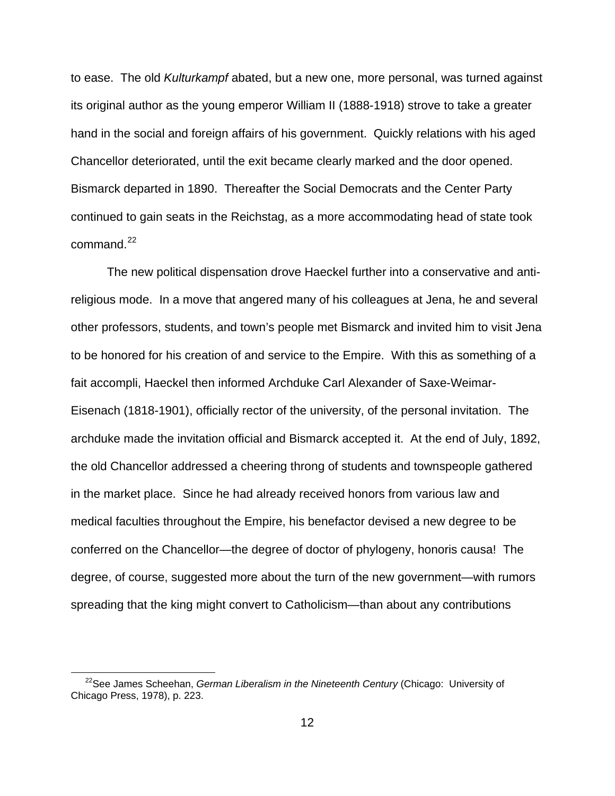to ease. The old *Kulturkampf* abated, but a new one, more personal, was turned against its original author as the young emperor William II (1888-1918) strove to take a greater hand in the social and foreign affairs of his government. Quickly relations with his aged Chancellor deteriorated, until the exit became clearly marked and the door opened. Bismarck departed in 1890. Thereafter the Social Democrats and the Center Party continued to gain seats in the Reichstag, as a more accommodating head of state took command. $^{22}$  $^{22}$  $^{22}$ 

 The new political dispensation drove Haeckel further into a conservative and antireligious mode. In a move that angered many of his colleagues at Jena, he and several other professors, students, and town's people met Bismarck and invited him to visit Jena to be honored for his creation of and service to the Empire. With this as something of a fait accompli, Haeckel then informed Archduke Carl Alexander of Saxe-Weimar-Eisenach (1818-1901), officially rector of the university, of the personal invitation. The archduke made the invitation official and Bismarck accepted it. At the end of July, 1892, the old Chancellor addressed a cheering throng of students and townspeople gathered in the market place. Since he had already received honors from various law and medical faculties throughout the Empire, his benefactor devised a new degree to be conferred on the Chancellor—the degree of doctor of phylogeny, honoris causa! The degree, of course, suggested more about the turn of the new government—with rumors spreading that the king might convert to Catholicism—than about any contributions

<span id="page-11-0"></span><sup>22</sup>See James Scheehan, *German Liberalism in the Nineteenth Century* (Chicago: University of Chicago Press, 1978), p. 223.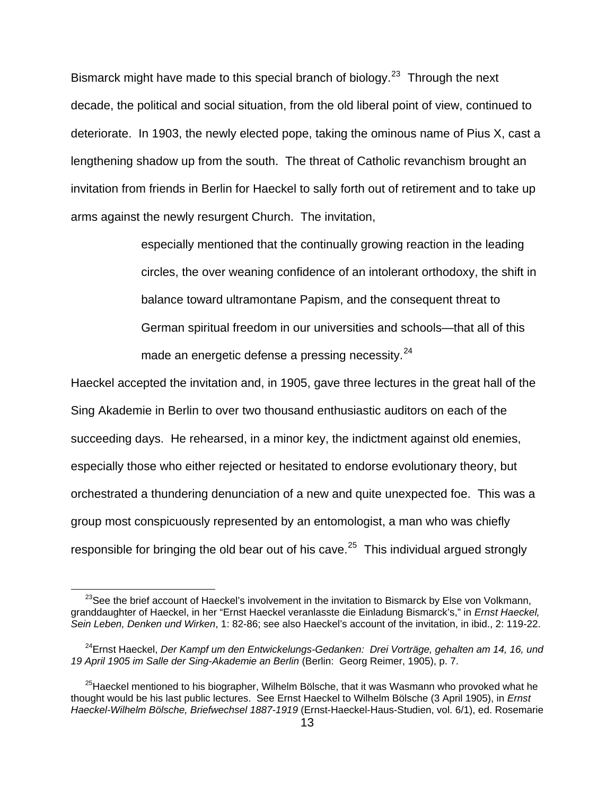Bismarck might have made to this special branch of biology.<sup>[23](#page-12-0)</sup> Through the next decade, the political and social situation, from the old liberal point of view, continued to deteriorate. In 1903, the newly elected pope, taking the ominous name of Pius X, cast a lengthening shadow up from the south. The threat of Catholic revanchism brought an invitation from friends in Berlin for Haeckel to sally forth out of retirement and to take up arms against the newly resurgent Church. The invitation,

> especially mentioned that the continually growing reaction in the leading circles, the over weaning confidence of an intolerant orthodoxy, the shift in balance toward ultramontane Papism, and the consequent threat to German spiritual freedom in our universities and schools—that all of this made an energetic defense a pressing necessity. $24$

Haeckel accepted the invitation and, in 1905, gave three lectures in the great hall of the Sing Akademie in Berlin to over two thousand enthusiastic auditors on each of the succeeding days. He rehearsed, in a minor key, the indictment against old enemies, especially those who either rejected or hesitated to endorse evolutionary theory, but orchestrated a thundering denunciation of a new and quite unexpected foe. This was a group most conspicuously represented by an entomologist, a man who was chiefly responsible for bringing the old bear out of his cave.<sup>[25](#page-12-2)</sup> This individual argued strongly

<span id="page-12-0"></span> $23$ See the brief account of Haeckel's involvement in the invitation to Bismarck by Else von Volkmann, granddaughter of Haeckel, in her "Ernst Haeckel veranlasste die Einladung Bismarck's," in *Ernst Haeckel, Sein Leben, Denken und Wirken*, 1: 82-86; see also Haeckel's account of the invitation, in ibid., 2: 119-22.

<span id="page-12-1"></span><sup>24</sup>Ernst Haeckel, *Der Kampf um den Entwickelungs-Gedanken: Drei Vorträge, gehalten am 14, 16, und 19 April 1905 im Salle der Sing-Akademie an Berlin* (Berlin: Georg Reimer, 1905), p. 7.

<span id="page-12-2"></span> $^{25}$ Haeckel mentioned to his biographer, Wilhelm Bölsche, that it was Wasmann who provoked what he thought would be his last public lectures. See Ernst Haeckel to Wilhelm Bölsche (3 April 1905), in *Ernst Haeckel-Wilhelm Bölsche, Briefwechsel 1887-1919* (Ernst-Haeckel-Haus-Studien, vol. 6/1), ed. Rosemarie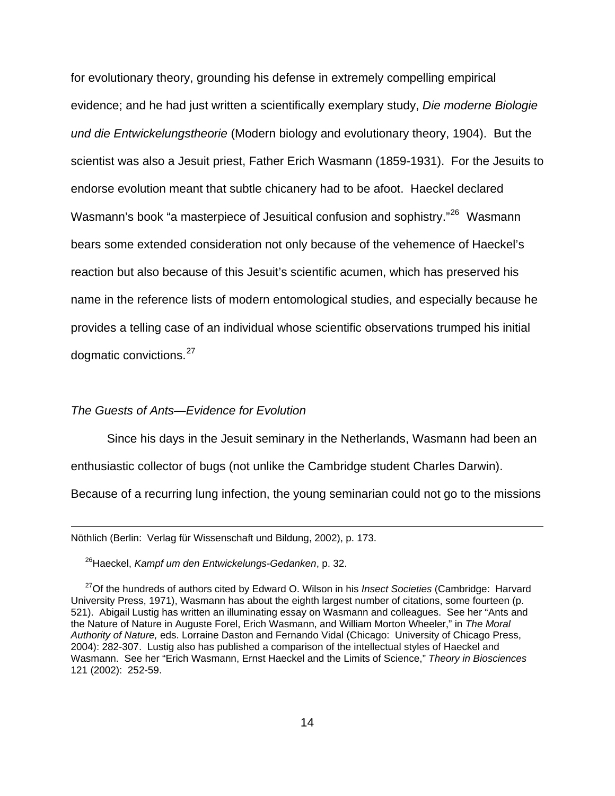for evolutionary theory, grounding his defense in extremely compelling empirical evidence; and he had just written a scientifically exemplary study, *Die moderne Biologie und die Entwickelungstheorie* (Modern biology and evolutionary theory, 1904). But the scientist was also a Jesuit priest, Father Erich Wasmann (1859-1931). For the Jesuits to endorse evolution meant that subtle chicanery had to be afoot. Haeckel declared Wasmann's book "a masterpiece of Jesuitical confusion and sophistry."<sup>[26](#page-13-0)</sup> Wasmann bears some extended consideration not only because of the vehemence of Haeckel's reaction but also because of this Jesuit's scientific acumen, which has preserved his name in the reference lists of modern entomological studies, and especially because he provides a telling case of an individual whose scientific observations trumped his initial dogmatic convictions.<sup>[27](#page-13-1)</sup>

### *The Guests of Ants—Evidence for Evolution*

l

 Since his days in the Jesuit seminary in the Netherlands, Wasmann had been an enthusiastic collector of bugs (not unlike the Cambridge student Charles Darwin).

Because of a recurring lung infection, the young seminarian could not go to the missions

Nöthlich (Berlin: Verlag für Wissenschaft und Bildung, 2002), p. 173.

26Haeckel, *Kampf um den Entwickelungs-Gedanken*, p. 32.

<span id="page-13-1"></span><span id="page-13-0"></span><sup>27</sup>Of the hundreds of authors cited by Edward O. Wilson in his *Insect Societies* (Cambridge: Harvard University Press, 1971), Wasmann has about the eighth largest number of citations, some fourteen (p. 521). Abigail Lustig has written an illuminating essay on Wasmann and colleagues. See her "Ants and the Nature of Nature in Auguste Forel, Erich Wasmann, and William Morton Wheeler," in *The Moral Authority of Nature,* eds. Lorraine Daston and Fernando Vidal (Chicago: University of Chicago Press, 2004): 282-307. Lustig also has published a comparison of the intellectual styles of Haeckel and Wasmann. See her "Erich Wasmann, Ernst Haeckel and the Limits of Science," *Theory in Biosciences* 121 (2002): 252-59.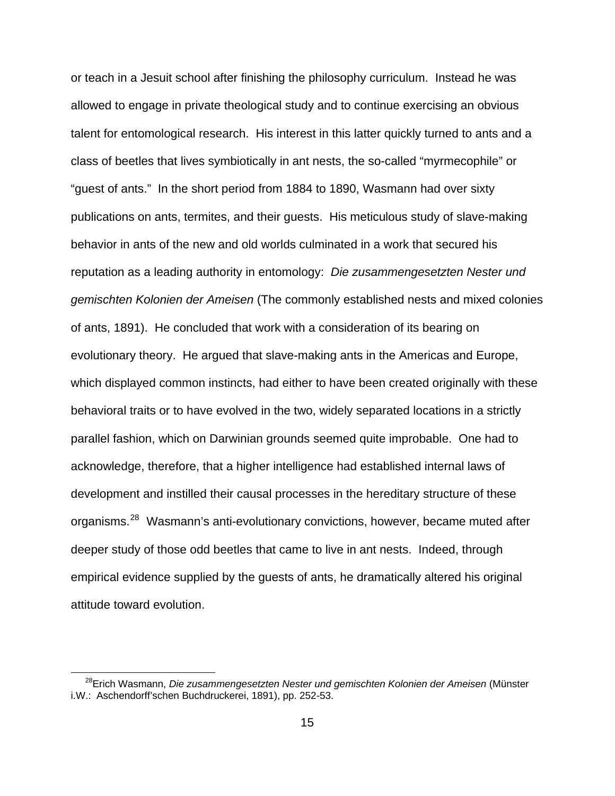or teach in a Jesuit school after finishing the philosophy curriculum. Instead he was allowed to engage in private theological study and to continue exercising an obvious talent for entomological research. His interest in this latter quickly turned to ants and a class of beetles that lives symbiotically in ant nests, the so-called "myrmecophile" or "guest of ants." In the short period from 1884 to 1890, Wasmann had over sixty publications on ants, termites, and their guests. His meticulous study of slave-making behavior in ants of the new and old worlds culminated in a work that secured his reputation as a leading authority in entomology: *Die zusammengesetzten Nester und gemischten Kolonien der Ameisen* (The commonly established nests and mixed colonies of ants, 1891). He concluded that work with a consideration of its bearing on evolutionary theory. He argued that slave-making ants in the Americas and Europe, which displayed common instincts, had either to have been created originally with these behavioral traits or to have evolved in the two, widely separated locations in a strictly parallel fashion, which on Darwinian grounds seemed quite improbable. One had to acknowledge, therefore, that a higher intelligence had established internal laws of development and instilled their causal processes in the hereditary structure of these organisms.[28](#page-14-0) Wasmann's anti-evolutionary convictions, however, became muted after deeper study of those odd beetles that came to live in ant nests. Indeed, through empirical evidence supplied by the guests of ants, he dramatically altered his original attitude toward evolution.

<span id="page-14-0"></span><sup>28</sup>Erich Wasmann, *Die zusammengesetzten Nester und gemischten Kolonien der Ameisen* (Münster i.W.: Aschendorff'schen Buchdruckerei, 1891), pp. 252-53.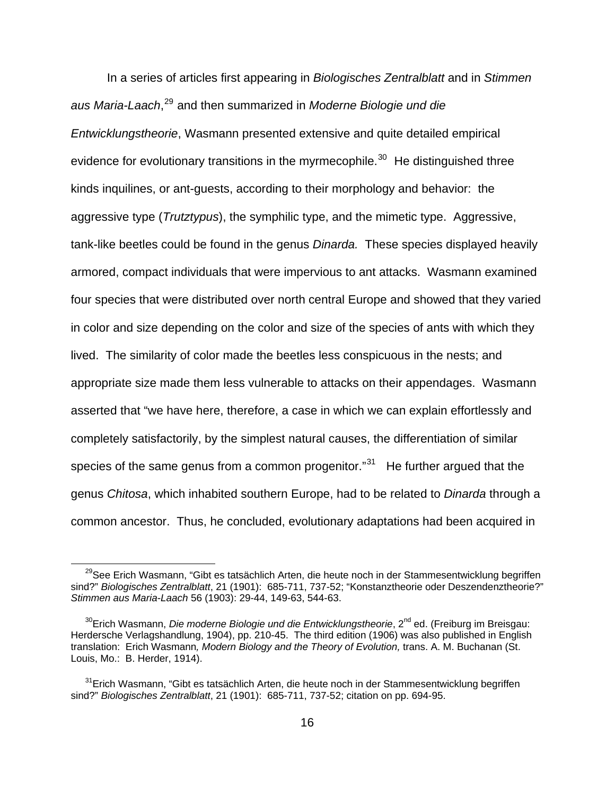In a series of articles first appearing in *Biologisches Zentralblatt* and in *Stimmen aus Maria-Laach*, [29](#page-15-0) and then summarized in *Moderne Biologie und die Entwicklungstheorie*, Wasmann presented extensive and quite detailed empirical evidence for evolutionary transitions in the myrmecophile.<sup>[30](#page-15-1)</sup> He distinguished three kinds inquilines, or ant-guests, according to their morphology and behavior: the aggressive type (*Trutztypus*), the symphilic type, and the mimetic type. Aggressive, tank-like beetles could be found in the genus *Dinarda.* These species displayed heavily armored, compact individuals that were impervious to ant attacks. Wasmann examined four species that were distributed over north central Europe and showed that they varied in color and size depending on the color and size of the species of ants with which they lived. The similarity of color made the beetles less conspicuous in the nests; and appropriate size made them less vulnerable to attacks on their appendages. Wasmann asserted that "we have here, therefore, a case in which we can explain effortlessly and completely satisfactorily, by the simplest natural causes, the differentiation of similar species of the same genus from a common progenitor."<sup>[31](#page-15-2)</sup> He further argued that the genus *Chitosa*, which inhabited southern Europe, had to be related to *Dinarda* through a common ancestor. Thus, he concluded, evolutionary adaptations had been acquired in

<span id="page-15-0"></span><sup>&</sup>lt;sup>29</sup>See Erich Wasmann, "Gibt es tatsächlich Arten, die heute noch in der Stammesentwicklung begriffen sind?" *Biologisches Zentralblatt*, 21 (1901): 685-711, 737-52; "Konstanztheorie oder Deszendenztheorie?" *Stimmen aus Maria-Laach* 56 (1903): 29-44, 149-63, 544-63.

<span id="page-15-1"></span><sup>&</sup>lt;sup>30</sup>Erich Wasmann, *Die moderne Biologie und die Entwicklungstheorie*, 2<sup>nd</sup> ed. (Freiburg im Breisgau: Herdersche Verlagshandlung, 1904), pp. 210-45. The third edition (1906) was also published in English translation: Erich Wasmann*, Modern Biology and the Theory of Evolution,* trans. A. M. Buchanan (St. Louis, Mo.: B. Herder, 1914).

<span id="page-15-2"></span> $31$ Erich Wasmann, "Gibt es tatsächlich Arten, die heute noch in der Stammesentwicklung begriffen sind?" *Biologisches Zentralblatt*, 21 (1901): 685-711, 737-52; citation on pp. 694-95.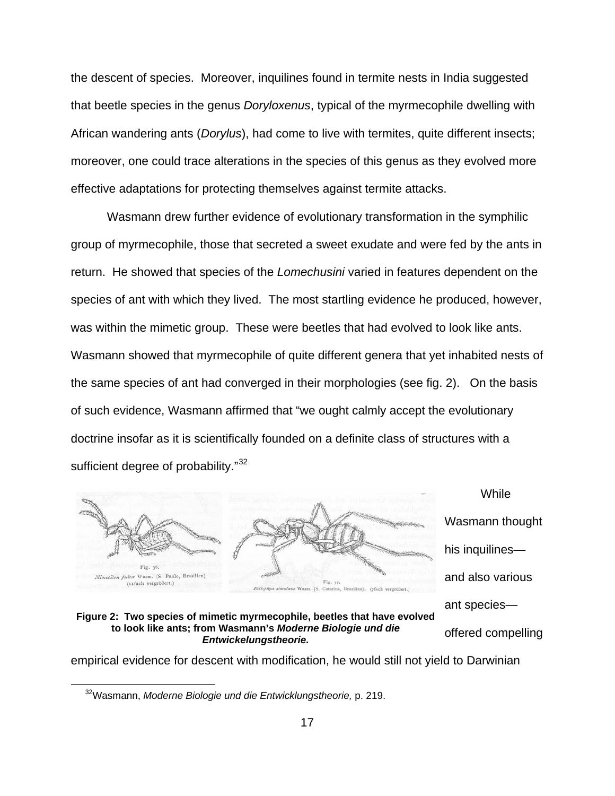the descent of species. Moreover, inquilines found in termite nests in India suggested that beetle species in the genus *Doryloxenus*, typical of the myrmecophile dwelling with African wandering ants (*Dorylus*), had come to live with termites, quite different insects; moreover, one could trace alterations in the species of this genus as they evolved more effective adaptations for protecting themselves against termite attacks.

 Wasmann drew further evidence of evolutionary transformation in the symphilic group of myrmecophile, those that secreted a sweet exudate and were fed by the ants in return. He showed that species of the *Lomechusini* varied in features dependent on the species of ant with which they lived. The most startling evidence he produced, however, was within the mimetic group. These were beetles that had evolved to look like ants. Wasmann showed that myrmecophile of quite different genera that yet inhabited nests of the same species of ant had converged in their morphologies (see fig. 2). On the basis of such evidence, Wasmann affirmed that "we ought calmly accept the evolutionary doctrine insofar as it is scientifically founded on a definite class of structures with a sufficient degree of probability."<sup>[32](#page-16-0)</sup>



<span id="page-16-0"></span>empirical evidence for descent with modification, he would still not yield to Darwinian

 <sup>32</sup>Wasmann, *Moderne Biologie und die Entwicklungstheorie,* p. 219.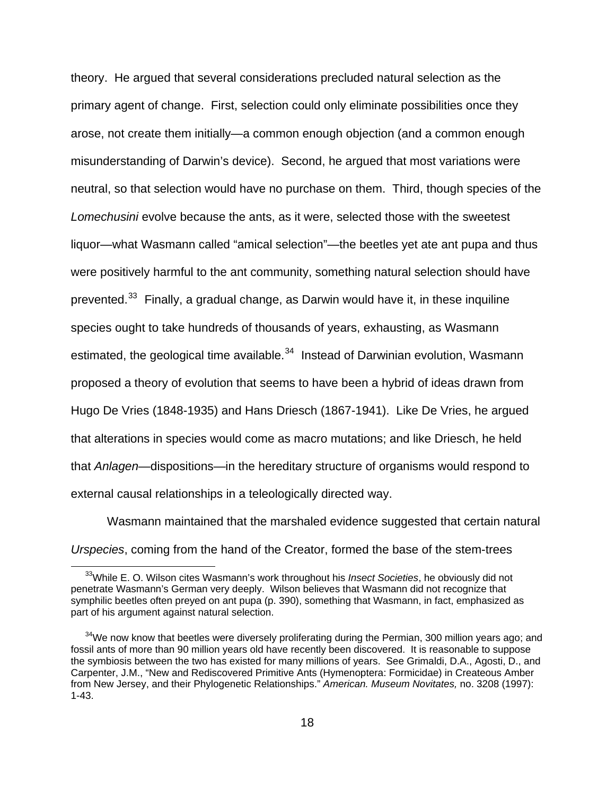theory. He argued that several considerations precluded natural selection as the primary agent of change. First, selection could only eliminate possibilities once they arose, not create them initially—a common enough objection (and a common enough misunderstanding of Darwin's device). Second, he argued that most variations were neutral, so that selection would have no purchase on them. Third, though species of the *Lomechusini* evolve because the ants, as it were, selected those with the sweetest liquor—what Wasmann called "amical selection"—the beetles yet ate ant pupa and thus were positively harmful to the ant community, something natural selection should have prevented. $33$  Finally, a gradual change, as Darwin would have it, in these inquiline species ought to take hundreds of thousands of years, exhausting, as Wasmann estimated, the geological time available. $34$  Instead of Darwinian evolution, Wasmann proposed a theory of evolution that seems to have been a hybrid of ideas drawn from Hugo De Vries (1848-1935) and Hans Driesch (1867-1941). Like De Vries, he argued that alterations in species would come as macro mutations; and like Driesch, he held that *Anlagen*—dispositions—in the hereditary structure of organisms would respond to external causal relationships in a teleologically directed way.

 Wasmann maintained that the marshaled evidence suggested that certain natural *Urspecies*, coming from the hand of the Creator, formed the base of the stem-trees

<span id="page-17-0"></span><sup>33</sup>While E. O. Wilson cites Wasmann's work throughout his *Insect Societies*, he obviously did not penetrate Wasmann's German very deeply. Wilson believes that Wasmann did not recognize that symphilic beetles often preyed on ant pupa (p. 390), something that Wasmann, in fact, emphasized as part of his argument against natural selection.

<span id="page-17-1"></span> $34$ We now know that beetles were diversely proliferating during the Permian, 300 million years ago; and fossil ants of more than 90 million years old have recently been discovered. It is reasonable to suppose the symbiosis between the two has existed for many millions of years. See Grimaldi, D.A., Agosti, D., and Carpenter, J.M., "New and Rediscovered Primitive Ants (Hymenoptera: Formicidae) in Createous Amber from New Jersey, and their Phylogenetic Relationships." *American. Museum Novitates,* no. 3208 (1997): 1-43.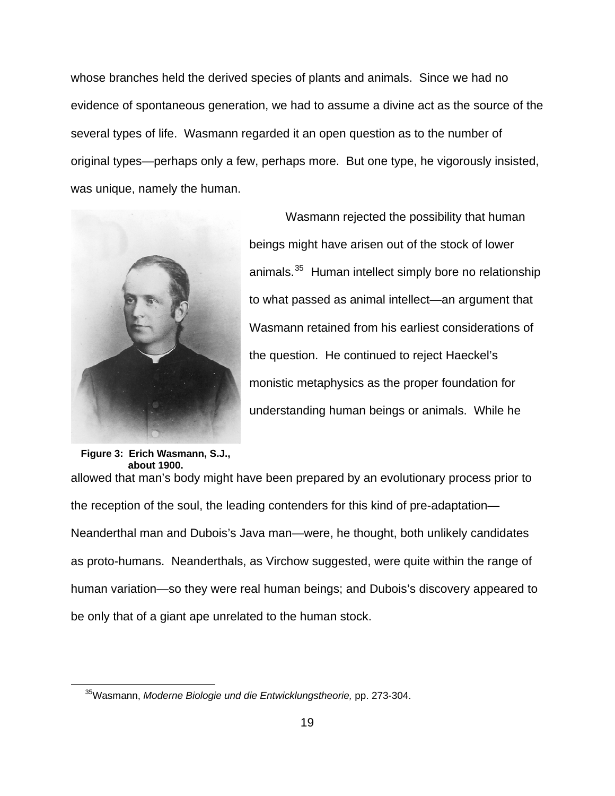whose branches held the derived species of plants and animals. Since we had no evidence of spontaneous generation, we had to assume a divine act as the source of the several types of life. Wasmann regarded it an open question as to the number of original types—perhaps only a few, perhaps more. But one type, he vigorously insisted, was unique, namely the human.



 Wasmann rejected the possibility that human beings might have arisen out of the stock of lower animals.<sup>[35](#page-18-0)</sup> Human intellect simply bore no relationship to what passed as animal intellect—an argument that Wasmann retained from his earliest considerations of the question. He continued to reject Haeckel's monistic metaphysics as the proper foundation for understanding human beings or animals. While he

# **Figure 3: Erich Wasmann, S.J., about 1900.**

<span id="page-18-0"></span>l

allowed that man's body might have been prepared by an evolutionary process prior to the reception of the soul, the leading contenders for this kind of pre-adaptation— Neanderthal man and Dubois's Java man—were, he thought, both unlikely candidates as proto-humans. Neanderthals, as Virchow suggested, were quite within the range of human variation—so they were real human beings; and Dubois's discovery appeared to be only that of a giant ape unrelated to the human stock.

<sup>35</sup>Wasmann, *Moderne Biologie und die Entwicklungstheorie,* pp. 273-304.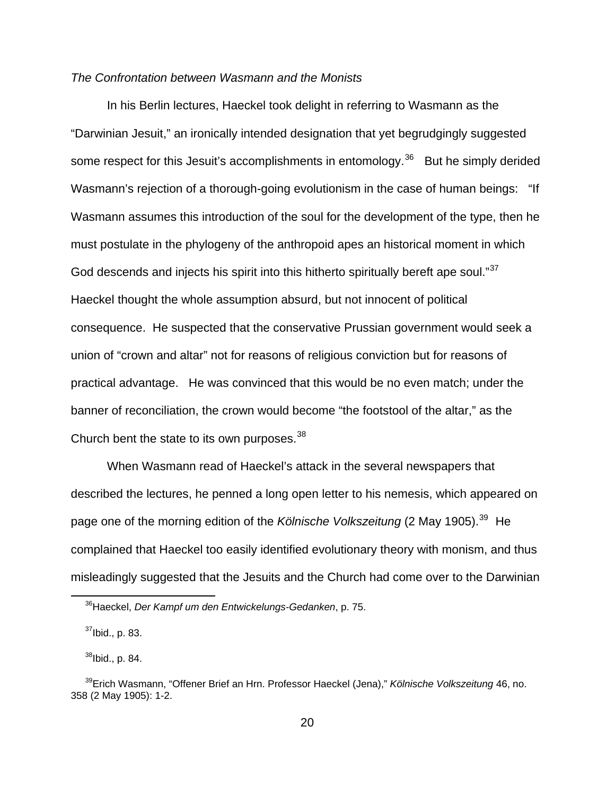## *The Confrontation between Wasmann and the Monists*

 In his Berlin lectures, Haeckel took delight in referring to Wasmann as the "Darwinian Jesuit," an ironically intended designation that yet begrudgingly suggested some respect for this Jesuit's accomplishments in entomology.<sup>[36](#page-19-0)</sup> But he simply derided Wasmann's rejection of a thorough-going evolutionism in the case of human beings: "If Wasmann assumes this introduction of the soul for the development of the type, then he must postulate in the phylogeny of the anthropoid apes an historical moment in which God descends and injects his spirit into this hitherto spiritually bereft ape soul."<sup>[37](#page-19-1)</sup> Haeckel thought the whole assumption absurd, but not innocent of political consequence. He suspected that the conservative Prussian government would seek a union of "crown and altar" not for reasons of religious conviction but for reasons of practical advantage. He was convinced that this would be no even match; under the banner of reconciliation, the crown would become "the footstool of the altar," as the Church bent the state to its own purposes.  $38$ 

 When Wasmann read of Haeckel's attack in the several newspapers that described the lectures, he penned a long open letter to his nemesis, which appeared on page one of the morning edition of the *Kölnische Volkszeitung* (2 May 1905).<sup>[39](#page-19-3)</sup> He complained that Haeckel too easily identified evolutionary theory with monism, and thus misleadingly suggested that the Jesuits and the Church had come over to the Darwinian

<span id="page-19-0"></span><sup>36</sup>Haeckel, *Der Kampf um den Entwickelungs-Gedanken*, p. 75.

 $37$ Ibid., p. 83.

 $38$ Ibid., p. 84.

<span id="page-19-3"></span><span id="page-19-2"></span><span id="page-19-1"></span><sup>39</sup>Erich Wasmann, "Offener Brief an Hrn. Professor Haeckel (Jena)," *Kölnische Volkszeitung* 46, no. 358 (2 May 1905): 1-2.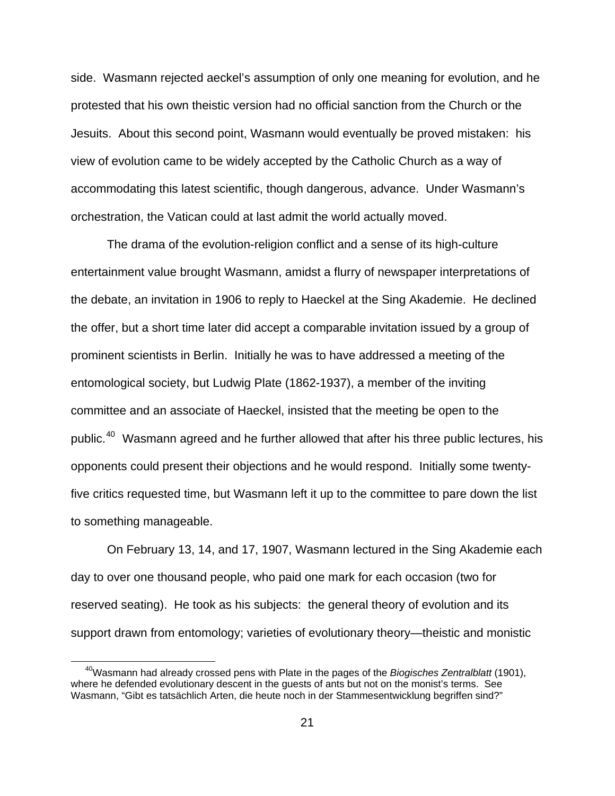side. Wasmann rejected aeckel's assumption of only one meaning for evolution, and he protested that his own theistic version had no official sanction from the Church or the Jesuits. About this second point, Wasmann would eventually be proved mistaken: his view of evolution came to be widely accepted by the Catholic Church as a way of accommodating this latest scientific, though dangerous, advance. Under Wasmann's orchestration, the Vatican could at last admit the world actually moved.

 The drama of the evolution-religion conflict and a sense of its high-culture entertainment value brought Wasmann, amidst a flurry of newspaper interpretations of the debate, an invitation in 1906 to reply to Haeckel at the Sing Akademie. He declined the offer, but a short time later did accept a comparable invitation issued by a group of prominent scientists in Berlin. Initially he was to have addressed a meeting of the entomological society, but Ludwig Plate (1862-1937), a member of the inviting committee and an associate of Haeckel, insisted that the meeting be open to the public.<sup>[40](#page-20-0)</sup> Wasmann agreed and he further allowed that after his three public lectures, his opponents could present their objections and he would respond. Initially some twentyfive critics requested time, but Wasmann left it up to the committee to pare down the list to something manageable.

 On February 13, 14, and 17, 1907, Wasmann lectured in the Sing Akademie each day to over one thousand people, who paid one mark for each occasion (two for reserved seating). He took as his subjects: the general theory of evolution and its support drawn from entomology; varieties of evolutionary theory—theistic and monistic

<span id="page-20-0"></span><sup>40</sup>Wasmann had already crossed pens with Plate in the pages of the *Biogisches Zentralblatt* (1901), where he defended evolutionary descent in the guests of ants but not on the monist's terms. See Wasmann, "Gibt es tatsächlich Arten, die heute noch in der Stammesentwicklung begriffen sind?"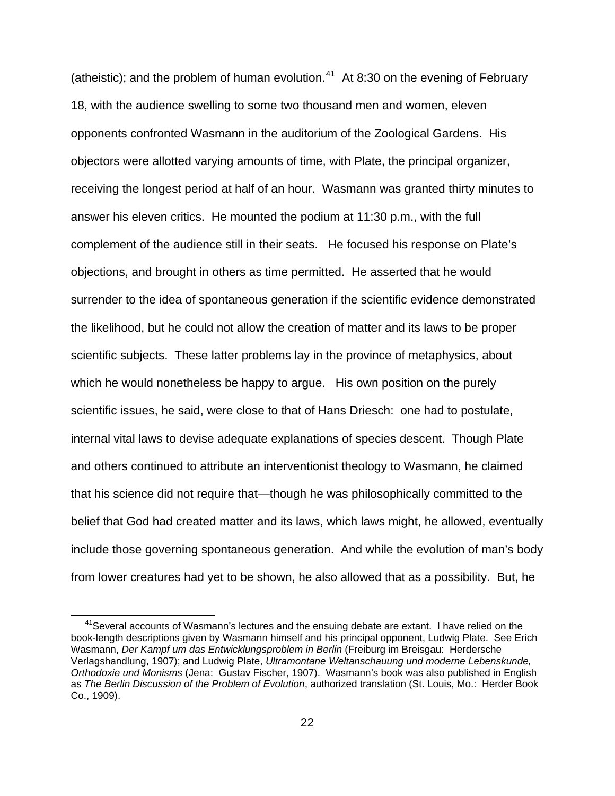(atheistic); and the problem of human evolution.<sup>[41](#page-21-0)</sup> At 8:30 on the evening of February 18, with the audience swelling to some two thousand men and women, eleven opponents confronted Wasmann in the auditorium of the Zoological Gardens. His objectors were allotted varying amounts of time, with Plate, the principal organizer, receiving the longest period at half of an hour. Wasmann was granted thirty minutes to answer his eleven critics. He mounted the podium at 11:30 p.m., with the full complement of the audience still in their seats. He focused his response on Plate's objections, and brought in others as time permitted. He asserted that he would surrender to the idea of spontaneous generation if the scientific evidence demonstrated the likelihood, but he could not allow the creation of matter and its laws to be proper scientific subjects. These latter problems lay in the province of metaphysics, about which he would nonetheless be happy to argue. His own position on the purely scientific issues, he said, were close to that of Hans Driesch: one had to postulate, internal vital laws to devise adequate explanations of species descent. Though Plate and others continued to attribute an interventionist theology to Wasmann, he claimed that his science did not require that—though he was philosophically committed to the belief that God had created matter and its laws, which laws might, he allowed, eventually include those governing spontaneous generation. And while the evolution of man's body from lower creatures had yet to be shown, he also allowed that as a possibility. But, he

<span id="page-21-0"></span><sup>&</sup>lt;sup>41</sup> Several accounts of Wasmann's lectures and the ensuing debate are extant. I have relied on the book-length descriptions given by Wasmann himself and his principal opponent, Ludwig Plate. See Erich Wasmann, *Der Kampf um das Entwicklungsproblem in Berlin* (Freiburg im Breisgau: Herdersche Verlagshandlung, 1907); and Ludwig Plate, *Ultramontane Weltanschauung und moderne Lebenskunde, Orthodoxie und Monisms* (Jena: Gustav Fischer, 1907). Wasmann's book was also published in English as *The Berlin Discussion of the Problem of Evolution*, authorized translation (St. Louis, Mo.: Herder Book Co., 1909).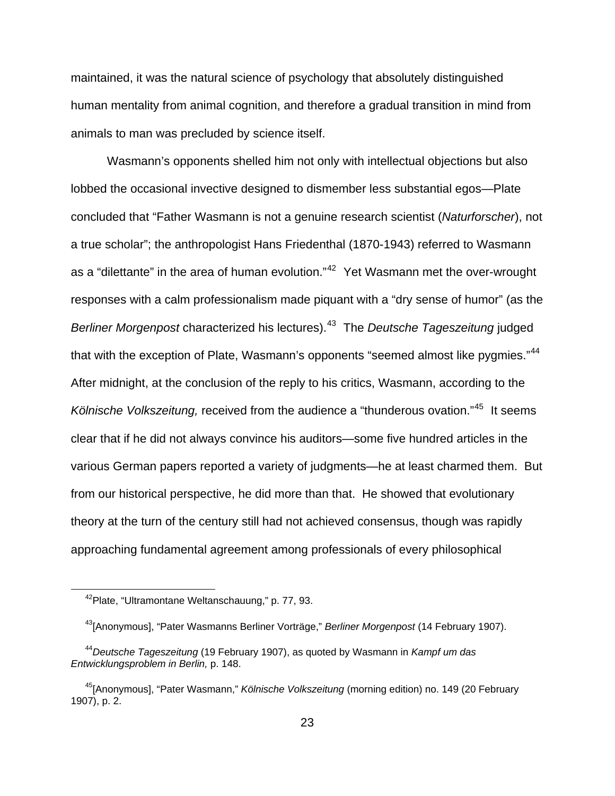maintained, it was the natural science of psychology that absolutely distinguished human mentality from animal cognition, and therefore a gradual transition in mind from animals to man was precluded by science itself.

 Wasmann's opponents shelled him not only with intellectual objections but also lobbed the occasional invective designed to dismember less substantial egos—Plate concluded that "Father Wasmann is not a genuine research scientist (*Naturforscher*), not a true scholar"; the anthropologist Hans Friedenthal (1870-1943) referred to Wasmann as a "dilettante" in the area of human evolution."<sup>[42](#page-22-0)</sup> Yet Wasmann met the over-wrought responses with a calm professionalism made piquant with a "dry sense of humor" (as the *Berliner Morgenpost* characterized his lectures).[43](#page-22-1) The *Deutsche Tageszeitung* judged that with the exception of Plate, Wasmann's opponents "seemed almost like pygmies."<sup>[44](#page-22-2)</sup> After midnight, at the conclusion of the reply to his critics, Wasmann, according to the *Kölnische Volkszeitung,* received from the audience a "thunderous ovation."[45](#page-22-3) It seems clear that if he did not always convince his auditors—some five hundred articles in the various German papers reported a variety of judgments—he at least charmed them. But from our historical perspective, he did more than that. He showed that evolutionary theory at the turn of the century still had not achieved consensus, though was rapidly approaching fundamental agreement among professionals of every philosophical

<sup>42</sup>Plate, "Ultramontane Weltanschauung," p. 77, 93.

<sup>43[</sup>Anonymous], "Pater Wasmanns Berliner Vorträge," *Berliner Morgenpost* (14 February 1907).

<span id="page-22-2"></span><span id="page-22-1"></span><span id="page-22-0"></span><sup>44</sup>*Deutsche Tageszeitung* (19 February 1907), as quoted by Wasmann in *Kampf um das Entwicklungsproblem in Berlin,* p. 148.

<span id="page-22-3"></span><sup>45[</sup>Anonymous], "Pater Wasmann," *Kölnische Volkszeitung* (morning edition) no. 149 (20 February 1907), p. 2.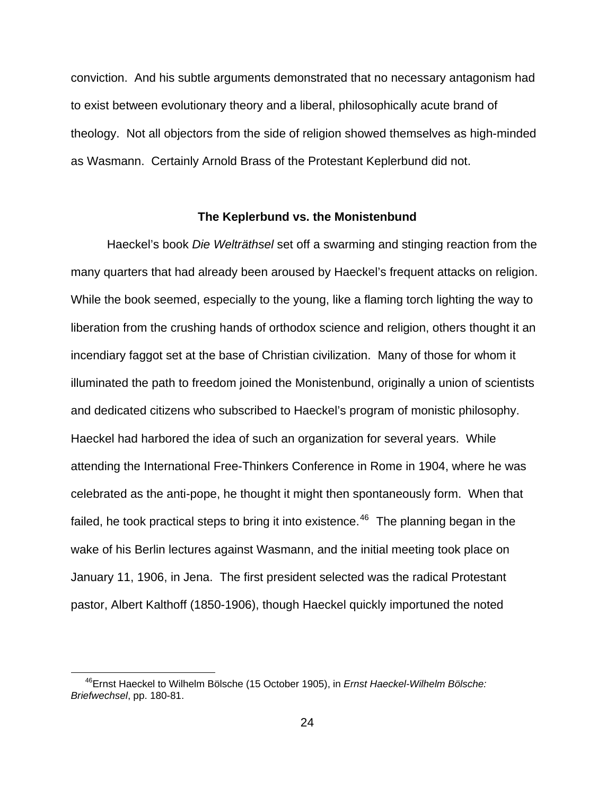conviction. And his subtle arguments demonstrated that no necessary antagonism had to exist between evolutionary theory and a liberal, philosophically acute brand of theology. Not all objectors from the side of religion showed themselves as high-minded as Wasmann. Certainly Arnold Brass of the Protestant Keplerbund did not.

## **The Keplerbund vs. the Monistenbund**

 Haeckel's book *Die Welträthsel* set off a swarming and stinging reaction from the many quarters that had already been aroused by Haeckel's frequent attacks on religion. While the book seemed, especially to the young, like a flaming torch lighting the way to liberation from the crushing hands of orthodox science and religion, others thought it an incendiary faggot set at the base of Christian civilization. Many of those for whom it illuminated the path to freedom joined the Monistenbund, originally a union of scientists and dedicated citizens who subscribed to Haeckel's program of monistic philosophy. Haeckel had harbored the idea of such an organization for several years. While attending the International Free-Thinkers Conference in Rome in 1904, where he was celebrated as the anti-pope, he thought it might then spontaneously form. When that failed, he took practical steps to bring it into existence.<sup>[46](#page-23-0)</sup> The planning began in the wake of his Berlin lectures against Wasmann, and the initial meeting took place on January 11, 1906, in Jena. The first president selected was the radical Protestant pastor, Albert Kalthoff (1850-1906), though Haeckel quickly importuned the noted

<span id="page-23-0"></span><sup>46</sup>Ernst Haeckel to Wilhelm Bölsche (15 October 1905), in *Ernst Haeckel-Wilhelm Bölsche: Briefwechsel*, pp. 180-81.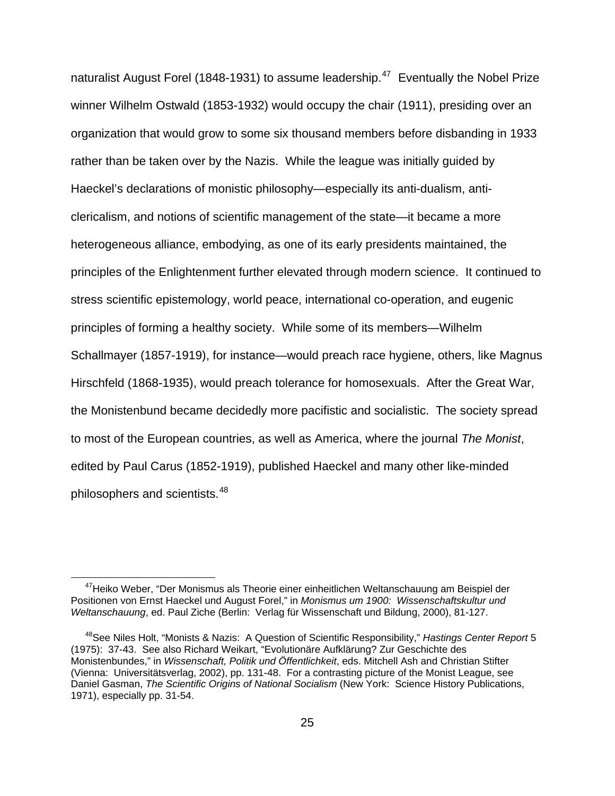naturalist August Forel (1848-1931) to assume leadership.<sup>[47](#page-24-0)</sup> Eventually the Nobel Prize winner Wilhelm Ostwald (1853-1932) would occupy the chair (1911), presiding over an organization that would grow to some six thousand members before disbanding in 1933 rather than be taken over by the Nazis. While the league was initially guided by Haeckel's declarations of monistic philosophy—especially its anti-dualism, anticlericalism, and notions of scientific management of the state—it became a more heterogeneous alliance, embodying, as one of its early presidents maintained, the principles of the Enlightenment further elevated through modern science. It continued to stress scientific epistemology, world peace, international co-operation, and eugenic principles of forming a healthy society. While some of its members—Wilhelm Schallmayer (1857-1919), for instance—would preach race hygiene, others, like Magnus Hirschfeld (1868-1935), would preach tolerance for homosexuals. After the Great War, the Monistenbund became decidedly more pacifistic and socialistic. The society spread to most of the European countries, as well as America, where the journal *The Monist*, edited by Paul Carus (1852-1919), published Haeckel and many other like-minded philosophers and scientists.<sup>[48](#page-24-1)</sup>

<span id="page-24-0"></span><sup>&</sup>lt;sup>47</sup>Heiko Weber, "Der Monismus als Theorie einer einheitlichen Weltanschauung am Beispiel der Positionen von Ernst Haeckel und August Forel," in *Monismus um 1900: Wissenschaftskultur und Weltanschauung*, ed. Paul Ziche (Berlin: Verlag für Wissenschaft und Bildung, 2000), 81-127.

<span id="page-24-1"></span><sup>48</sup>See Niles Holt, "Monists & Nazis: A Question of Scientific Responsibility," *Hastings Center Report* 5 (1975): 37-43. See also Richard Weikart, "Evolutionäre Aufklärung? Zur Geschichte des Monistenbundes," in *Wissenschaft, Politik und Öffentlichkeit*, eds. Mitchell Ash and Christian Stifter (Vienna: Universitätsverlag, 2002), pp. 131-48. For a contrasting picture of the Monist League, see Daniel Gasman, *The Scientific Origins of National Socialism* (New York: Science History Publications, 1971), especially pp. 31-54.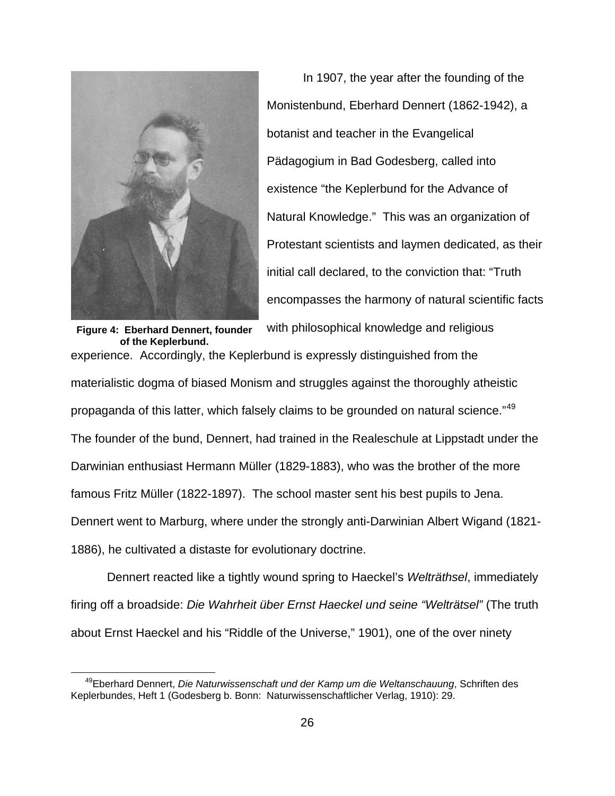

l

encompasses the harmony of natural scientific facts In 1907, the year after the founding of the Monistenbund, Eberhard Dennert (1862-1942), a botanist and teacher in the Evangelical Pädagogium in Bad Godesberg, called into existence "the Keplerbund for the Advance of Natural Knowledge." This was an organization of Protestant scientists and laymen dedicated, as their initial call declared, to the conviction that: "Truth with philosophical knowledge and religious

experience. Accordingly, the Keplerbund is expressly distinguished from the materialistic dogma of biased Monism and struggles against the thoroughly atheistic propaganda of this latter, which falsely claims to be grounded on natural science."<sup>[49](#page-25-0)</sup> **of the Keplerbund.**  The founder of the bund, Dennert, had trained in the Realeschule at Lippstadt under the Darwinian enthusiast Hermann Müller (1829-1883), who was the brother of the more famous Fritz Müller (1822-1897). The school master sent his best pupils to Jena. Dennert went to Marburg, where under the strongly anti-Darwinian Albert Wigand (1821- 1886), he cultivated a distaste for evolutionary doctrine.

 Dennert reacted like a tightly wound spring to Haeckel's *Welträthsel*, immediately firing off a broadside: *Die Wahrheit über Ernst Haeckel und seine "Welträtsel"* (The truth about Ernst Haeckel and his "Riddle of the Universe," 1901), one of the over ninety

<span id="page-25-0"></span><sup>49</sup>Eberhard Dennert, *Die Naturwissenschaft und der Kamp um die Weltanschauung*, Schriften des Keplerbundes, Heft 1 (Godesberg b. Bonn: Naturwissenschaftlicher Verlag, 1910): 29.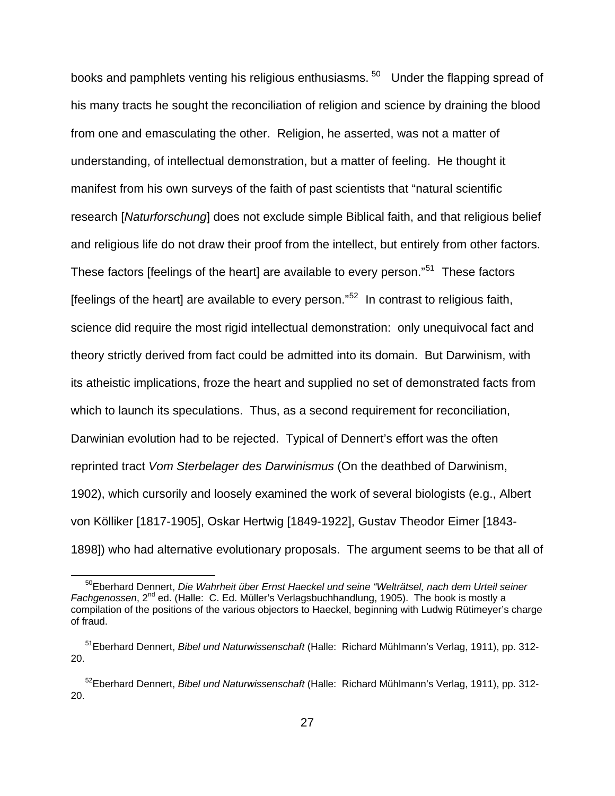books and pamphlets venting his religious enthusiasms.<sup>[50](#page-26-0)</sup> Under the flapping spread of his many tracts he sought the reconciliation of religion and science by draining the blood from one and emasculating the other. Religion, he asserted, was not a matter of understanding, of intellectual demonstration, but a matter of feeling. He thought it manifest from his own surveys of the faith of past scientists that "natural scientific research [*Naturforschung*] does not exclude simple Biblical faith, and that religious belief and religious life do not draw their proof from the intellect, but entirely from other factors. These factors [feelings of the heart] are available to every person."<sup>[51](#page-26-1)</sup> These factors [feelings of the heart] are available to every person." $52$  In contrast to religious faith, science did require the most rigid intellectual demonstration: only unequivocal fact and theory strictly derived from fact could be admitted into its domain. But Darwinism, with its atheistic implications, froze the heart and supplied no set of demonstrated facts from which to launch its speculations. Thus, as a second requirement for reconciliation, Darwinian evolution had to be rejected. Typical of Dennert's effort was the often reprinted tract *Vom Sterbelager des Darwinismus* (On the deathbed of Darwinism, 1902), which cursorily and loosely examined the work of several biologists (e.g., Albert von Kölliker [1817-1905], Oskar Hertwig [1849-1922], Gustav Theodor Eimer [1843- 1898]) who had alternative evolutionary proposals. The argument seems to be that all of

<span id="page-26-0"></span><sup>50</sup>Eberhard Dennert, *Die Wahrheit über Ernst Haeckel und seine "Welträtsel, nach dem Urteil seiner*  Fachgenossen, 2<sup>nd</sup> ed. (Halle: C. Ed. Müller's Verlagsbuchhandlung, 1905). The book is mostly a compilation of the positions of the various objectors to Haeckel, beginning with Ludwig Rütimeyer's charge of fraud.

<span id="page-26-1"></span><sup>51</sup>Eberhard Dennert, *Bibel und Naturwissenschaft* (Halle: Richard Mühlmann's Verlag, 1911), pp. 312- 20.

<span id="page-26-2"></span><sup>52</sup>Eberhard Dennert, *Bibel und Naturwissenschaft* (Halle: Richard Mühlmann's Verlag, 1911), pp. 312- 20.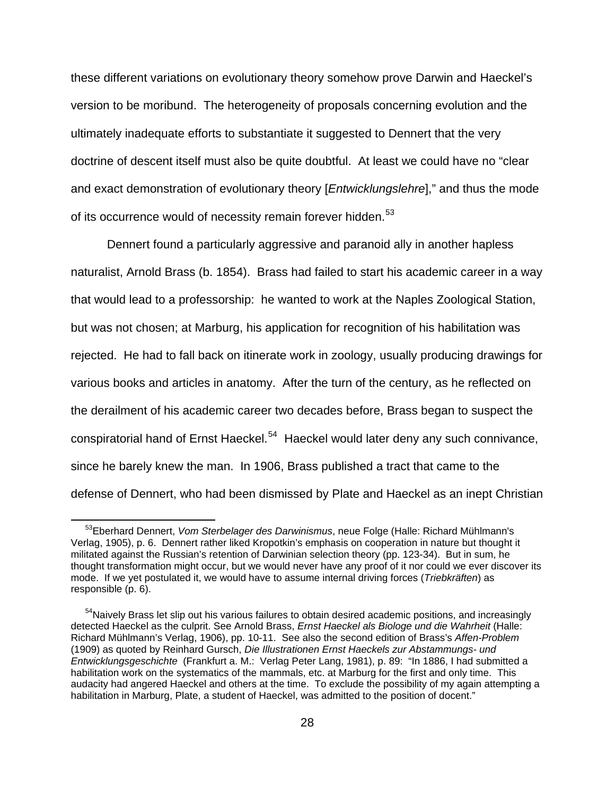these different variations on evolutionary theory somehow prove Darwin and Haeckel's version to be moribund. The heterogeneity of proposals concerning evolution and the ultimately inadequate efforts to substantiate it suggested to Dennert that the very doctrine of descent itself must also be quite doubtful. At least we could have no "clear and exact demonstration of evolutionary theory [*Entwicklungslehre*]," and thus the mode of its occurrence would of necessity remain forever hidden.<sup>[53](#page-27-0)</sup>

 Dennert found a particularly aggressive and paranoid ally in another hapless naturalist, Arnold Brass (b. 1854). Brass had failed to start his academic career in a way that would lead to a professorship: he wanted to work at the Naples Zoological Station, but was not chosen; at Marburg, his application for recognition of his habilitation was rejected. He had to fall back on itinerate work in zoology, usually producing drawings for various books and articles in anatomy. After the turn of the century, as he reflected on the derailment of his academic career two decades before, Brass began to suspect the conspiratorial hand of Ernst Haeckel.<sup>[54](#page-27-1)</sup> Haeckel would later deny any such connivance, since he barely knew the man. In 1906, Brass published a tract that came to the defense of Dennert, who had been dismissed by Plate and Haeckel as an inept Christian

<span id="page-27-0"></span><sup>53</sup>Eberhard Dennert, *Vom Sterbelager des Darwinismus*, neue Folge (Halle: Richard Mühlmann's Verlag, 1905), p. 6. Dennert rather liked Kropotkin's emphasis on cooperation in nature but thought it militated against the Russian's retention of Darwinian selection theory (pp. 123-34). But in sum, he thought transformation might occur, but we would never have any proof of it nor could we ever discover its mode. If we yet postulated it, we would have to assume internal driving forces (*Triebkräften*) as responsible (p. 6).

<span id="page-27-1"></span><sup>&</sup>lt;sup>54</sup>Naively Brass let slip out his various failures to obtain desired academic positions, and increasingly detected Haeckel as the culprit. See Arnold Brass, *Ernst Haeckel als Biologe und die Wahrheit* (Halle: Richard Mühlmann's Verlag, 1906), pp. 10-11. See also the second edition of Brass's *Affen-Problem* (1909) as quoted by Reinhard Gursch, *Die Illustrationen Ernst Haeckels zur Abstammungs- und Entwicklungsgeschichte* (Frankfurt a. M.: Verlag Peter Lang, 1981), p. 89: "In 1886, I had submitted a habilitation work on the systematics of the mammals, etc. at Marburg for the first and only time. This audacity had angered Haeckel and others at the time. To exclude the possibility of my again attempting a habilitation in Marburg, Plate, a student of Haeckel, was admitted to the position of docent."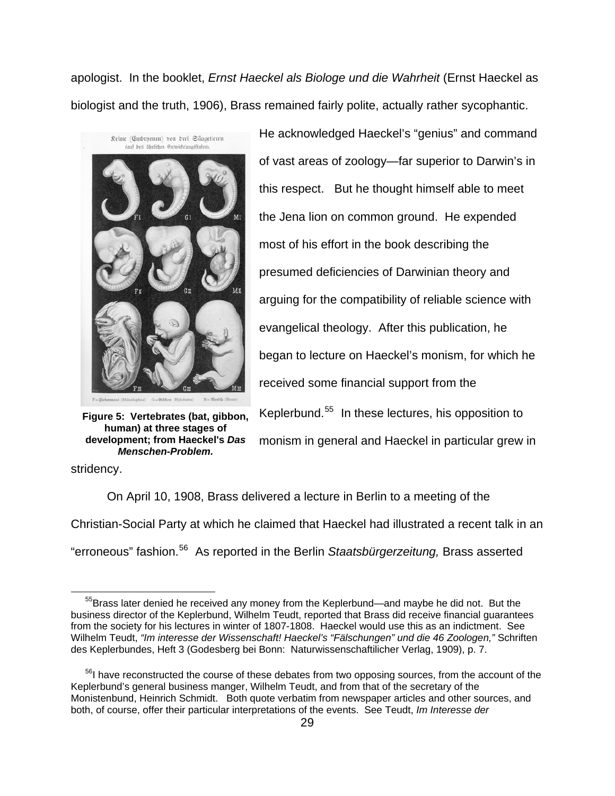apologist. In the booklet, *Ernst Haeckel als Biologe und die Wahrheit* (Ernst Haeckel as biologist and the truth, 1906), Brass remained fairly polite, actually rather sycophantic.



**Figure 5: Vertebrates (bat, gibbon, human) at three stages of development; from Haeckel's** *Das Menschen-Problem.*

He acknowledged Haeckel's "genius" and command of vast areas of zoology—far superior to Darwin's in this respect. But he thought himself able to meet the Jena lion on common ground. He expended most of his effort in the book describing the presumed deficiencies of Darwinian theory and arguing for the compatibility of reliable science with evangelical theology. After this publication, he began to lecture on Haeckel's monism, for which he received some financial support from the Keplerbund.[55](#page-28-0) In these lectures, his opposition to monism in general and Haeckel in particular grew in

stridency.

 On April 10, 1908, Brass delivered a lecture in Berlin to a meeting of the Christian-Social Party at which he claimed that Haeckel had illustrated a recent talk in an "erroneous" fashion.[56](#page-28-1) As reported in the Berlin *Staatsbürgerzeitung,* Brass asserted

<span id="page-28-0"></span><sup>&</sup>lt;sup>55</sup>Brass later denied he received any money from the Keplerbund—and maybe he did not. But the business director of the Keplerbund, Wilhelm Teudt, reported that Brass did receive financial guarantees from the society for his lectures in winter of 1807-1808. Haeckel would use this as an indictment. See Wilhelm Teudt, *"Im interesse der Wissenschaft! Haeckel's "Fälschungen" und die 46 Zoologen,"* Schriften des Keplerbundes, Heft 3 (Godesberg bei Bonn: Naturwissenschaftilicher Verlag, 1909), p. 7.

<span id="page-28-1"></span><sup>&</sup>lt;sup>56</sup>I have reconstructed the course of these debates from two opposing sources, from the account of the Keplerbund's general business manger, Wilhelm Teudt, and from that of the secretary of the Monistenbund, Heinrich Schmidt. Both quote verbatim from newspaper articles and other sources, and both, of course, offer their particular interpretations of the events. See Teudt, *Im Interesse der*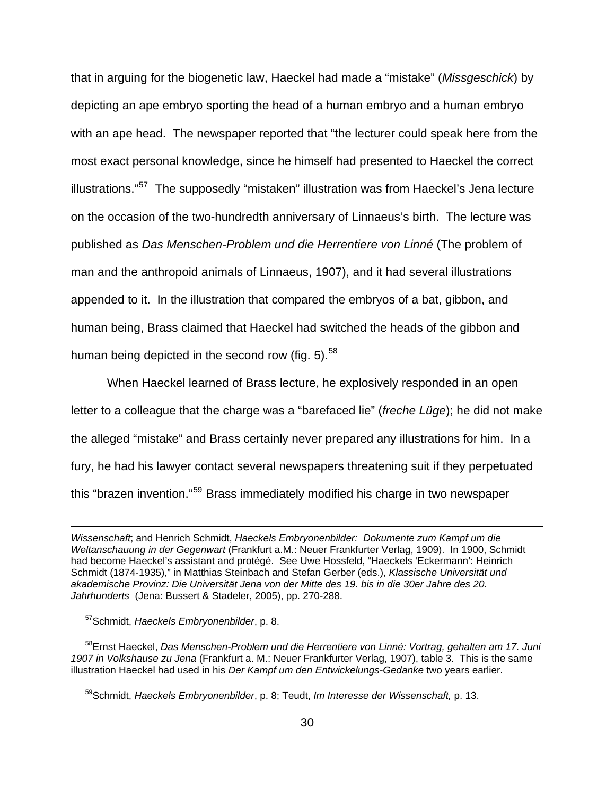that in arguing for the biogenetic law, Haeckel had made a "mistake" (*Missgeschick*) by depicting an ape embryo sporting the head of a human embryo and a human embryo with an ape head. The newspaper reported that "the lecturer could speak here from the most exact personal knowledge, since he himself had presented to Haeckel the correct illustrations."<sup>[57](#page-29-0)</sup> The supposedly "mistaken" illustration was from Haeckel's Jena lecture on the occasion of the two-hundredth anniversary of Linnaeus's birth. The lecture was published as *Das Menschen-Problem und die Herrentiere von Linné* (The problem of man and the anthropoid animals of Linnaeus, 1907), and it had several illustrations appended to it. In the illustration that compared the embryos of a bat, gibbon, and human being, Brass claimed that Haeckel had switched the heads of the gibbon and human being depicted in the second row (fig.  $5)$ .  $58$ 

 When Haeckel learned of Brass lecture, he explosively responded in an open letter to a colleague that the charge was a "barefaced lie" (*freche Lüge*); he did not make the alleged "mistake" and Brass certainly never prepared any illustrations for him. In a fury, he had his lawyer contact several newspapers threatening suit if they perpetuated this "brazen invention."[59](#page-29-2) Brass immediately modified his charge in two newspaper

57Schmidt, *Haeckels Embryonenbilder*, p. 8.

l

<span id="page-29-1"></span><span id="page-29-0"></span>58Ernst Haeckel, *Das Menschen-Problem und die Herrentiere von Linné: Vortrag, gehalten am 17. Juni 1907 in Volkshause zu Jena* (Frankfurt a. M.: Neuer Frankfurter Verlag, 1907), table 3. This is the same illustration Haeckel had used in his *Der Kampf um den Entwickelungs-Gedanke* two years earlier.

<span id="page-29-2"></span>59Schmidt, *Haeckels Embryonenbilder*, p. 8; Teudt, *Im Interesse der Wissenschaft,* p. 13.

*Wissenschaft*; and Henrich Schmidt, *Haeckels Embryonenbilder: Dokumente zum Kampf um die Weltanschauung in der Gegenwart* (Frankfurt a.M.: Neuer Frankfurter Verlag, 1909). In 1900, Schmidt had become Haeckel's assistant and protégé. See Uwe Hossfeld, "Haeckels 'Eckermann': Heinrich Schmidt (1874-1935)," in Matthias Steinbach and Stefan Gerber (eds.), *Klassische Universität und akademische Provinz: Die Universität Jena von der Mitte des 19. bis in die 30er Jahre des 20. Jahrhunderts* (Jena: Bussert & Stadeler, 2005), pp. 270-288.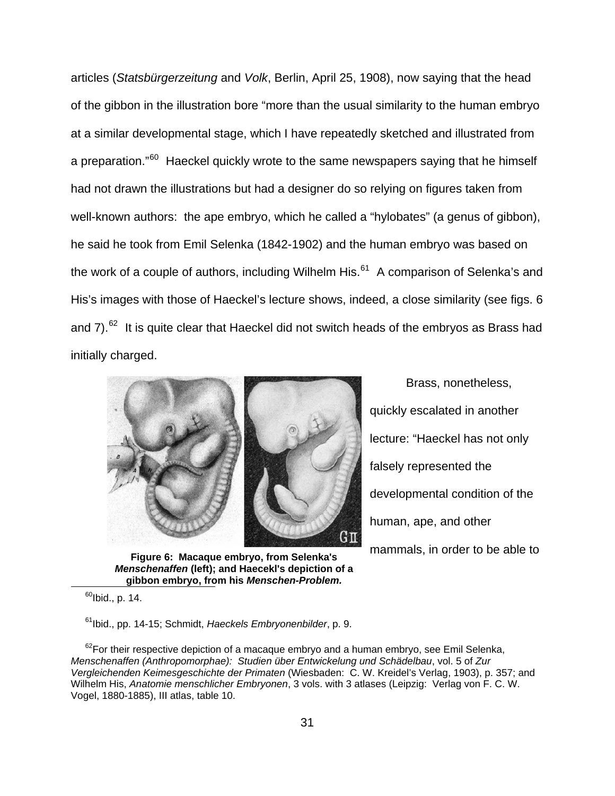articles (*Statsbürgerzeitung* and *Volk*, Berlin, April 25, 1908), now saying that the head of the gibbon in the illustration bore "more than the usual similarity to the human embryo at a similar developmental stage, which I have repeatedly sketched and illustrated from a preparation."<sup>[60](#page-30-0)</sup> Haeckel quickly wrote to the same newspapers saying that he himself had not drawn the illustrations but had a designer do so relying on figures taken from well-known authors: the ape embryo, which he called a "hylobates" (a genus of gibbon), he said he took from Emil Selenka (1842-1902) and the human embryo was based on the work of a couple of authors, including Wilhelm His. $61$  A comparison of Selenka's and His's images with those of Haeckel's lecture shows, indeed, a close similarity (see figs. 6 and  $7)$ .<sup>[62](#page-30-2)</sup> It is quite clear that Haeckel did not switch heads of the embryos as Brass had initially charged.



 **gibbon embryo, from his** *Menschen-Problem.* **Figure 6: Macaque embryo, from Selenka's**  *Menschenaffen* **(left); and Haecekl's depiction of a** 

 $60$ Ibid., p. 14.

<span id="page-30-0"></span>l

61Ibid., pp. 14-15; Schmidt, *Haeckels Embryonenbilder*, p. 9.

<span id="page-30-2"></span><span id="page-30-1"></span> $62$ For their respective depiction of a macaque embryo and a human embryo, see Emil Selenka, *Menschenaffen (Anthropomorphae): Studien über Entwickelung und Schädelbau*, vol. 5 of *Zur Vergleichenden Keimesgeschichte der Primaten* (Wiesbaden: C. W. Kreidel's Verlag, 1903), p. 357; and Wilhelm His, *Anatomie menschlicher Embryonen*, 3 vols. with 3 atlases (Leipzig: Verlag von F. C. W. Vogel, 1880-1885), III atlas, table 10.

 Brass, nonetheless, quickly escalated in another lecture: "Haeckel has not only falsely represented the developmental condition of the human, ape, and other mammals, in order to be able to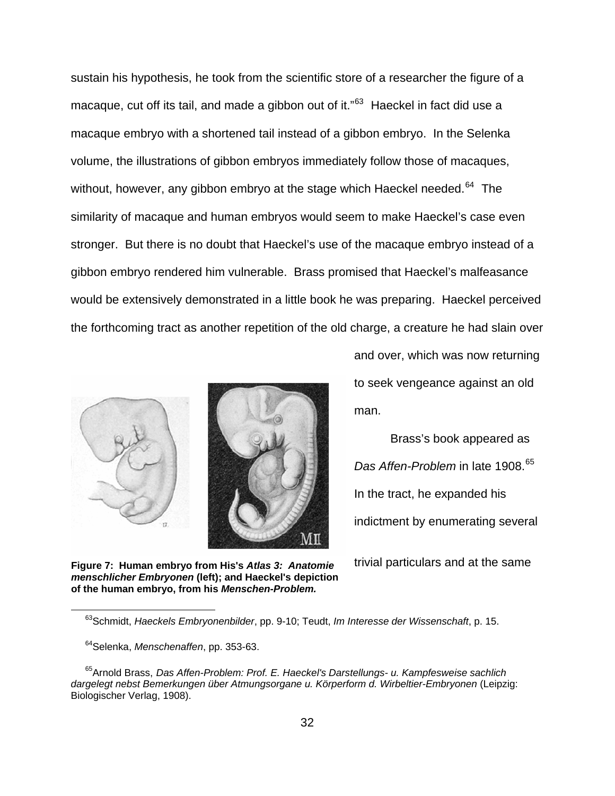sustain his hypothesis, he took from the scientific store of a researcher the figure of a macaque, cut off its tail, and made a gibbon out of it."<sup>[63](#page-31-0)</sup> Haeckel in fact did use a macaque embryo with a shortened tail instead of a gibbon embryo. In the Selenka volume, the illustrations of gibbon embryos immediately follow those of macaques, without, however, any gibbon embryo at the stage which Haeckel needed.<sup>[64](#page-31-1)</sup> The similarity of macaque and human embryos would seem to make Haeckel's case even stronger. But there is no doubt that Haeckel's use of the macaque embryo instead of a gibbon embryo rendered him vulnerable. Brass promised that Haeckel's malfeasance would be extensively demonstrated in a little book he was preparing. Haeckel perceived the forthcoming tract as another repetition of the old charge, a creature he had slain over





and over, which was now returning to seek vengeance against an old man.

 Brass's book appeared as **Das Affen-Problem** in late 1908.<sup>[65](#page-31-2)</sup> In the tract, he expanded his indictment by enumerating several

**Figure 7: Human embryo from His's** *Atlas 3: Anatomie* trivial particulars and at the same *menschlicher Embryonen* **(left); and Haeckel's depiction of the human embryo, from his** *Menschen-Problem.*

 <sup>63</sup>Schmidt, *Haeckels Embryonenbilder*, pp. 9-10; Teudt, *Im Interesse der Wissenschaft*, p. 15.

<sup>64</sup>Selenka, *Menschenaffen*, pp. 353-63.

<span id="page-31-2"></span><span id="page-31-1"></span><span id="page-31-0"></span><sup>65</sup>Arnold Brass, *[Das](http://sbbweb1.sbb.spk-berlin.de:8080/CHARSET=ISO-8859-1/DB=1/IMPLAND=Y/LNG=DU/LRSET=1/SET=1/SID=51b194e0-2/SRT=YOP/TTL=7/MAT=/NOMAT=T/CLK?IKT=1016&TRM=Das) [Affen-Problem](http://sbbweb1.sbb.spk-berlin.de:8080/CHARSET=ISO-8859-1/DB=1/IMPLAND=Y/LNG=DU/LRSET=1/SET=1/SID=51b194e0-2/SRT=YOP/TTL=7/MAT=/NOMAT=T/CLK?IKT=1016&TRM=Affen%2DProblem): Prof. E. Haeckel's Darstellungs- u. Kampfesweise sachlich dargelegt nebst Bemerkungen über Atmungsorgane u. Körperform d. Wirbeltier-Embryonen* (Leipzig: Biologischer Verlag, 1908).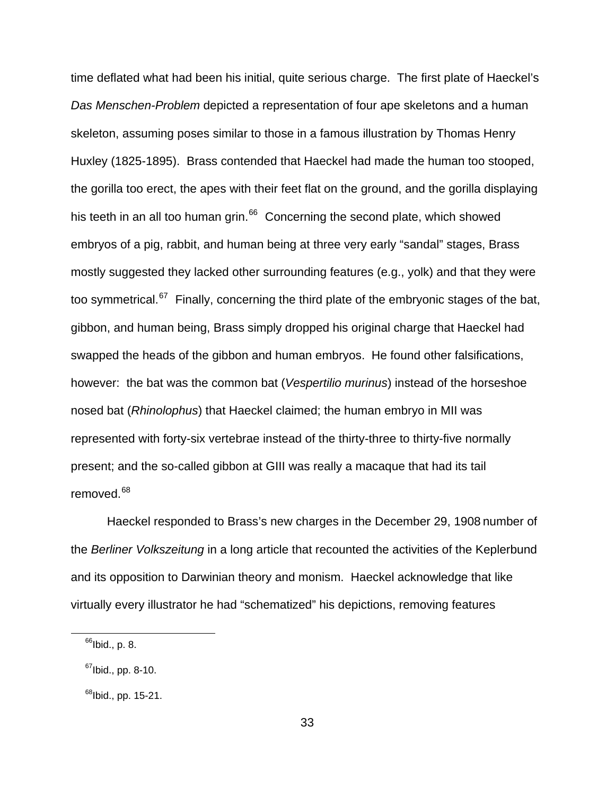time deflated what had been his initial, quite serious charge. The first plate of Haeckel's *Das Menschen-Problem* depicted a representation of four ape skeletons and a human skeleton, assuming poses similar to those in a famous illustration by Thomas Henry Huxley (1825-1895). Brass contended that Haeckel had made the human too stooped, the gorilla too erect, the apes with their feet flat on the ground, and the gorilla displaying his teeth in an all too human grin. $66$  Concerning the second plate, which showed embryos of a pig, rabbit, and human being at three very early "sandal" stages, Brass mostly suggested they lacked other surrounding features (e.g., yolk) and that they were too symmetrical. $^{67}$  $^{67}$  $^{67}$  Finally, concerning the third plate of the embryonic stages of the bat, gibbon, and human being, Brass simply dropped his original charge that Haeckel had swapped the heads of the gibbon and human embryos. He found other falsifications, however: the bat was the common bat (*Vespertilio murinus*) instead of the horseshoe nosed bat (*Rhinolophus*) that Haeckel claimed; the human embryo in MII was represented with forty-six vertebrae instead of the thirty-three to thirty-five normally present; and the so-called gibbon at GIII was really a macaque that had its tail removed.<sup>[68](#page-32-2)</sup>

 Haeckel responded to Brass's new charges in the December 29, 1908 number of the *Berliner Volkszeitung* in a long article that recounted the activities of the Keplerbund and its opposition to Darwinian theory and monism. Haeckel acknowledge that like virtually every illustrator he had "schematized" his depictions, removing features

 $66$ Ibid., p. 8.

<span id="page-32-1"></span><span id="page-32-0"></span> $67$ Ibid., pp. 8-10.

<span id="page-32-2"></span> $^{68}$ lbid., pp. 15-21.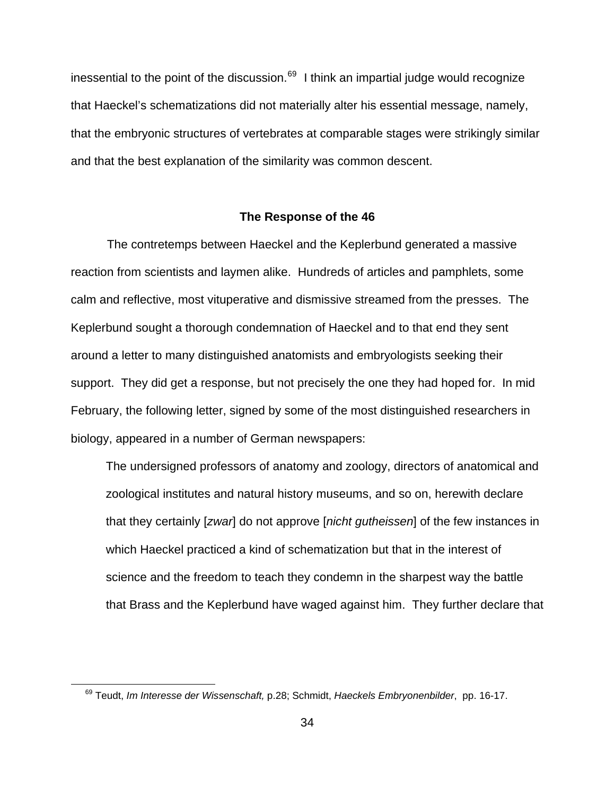inessential to the point of the discussion. $69$  I think an impartial judge would recognize that Haeckel's schematizations did not materially alter his essential message, namely, that the embryonic structures of vertebrates at comparable stages were strikingly similar and that the best explanation of the similarity was common descent.

### **The Response of the 46**

 The contretemps between Haeckel and the Keplerbund generated a massive reaction from scientists and laymen alike. Hundreds of articles and pamphlets, some calm and reflective, most vituperative and dismissive streamed from the presses. The Keplerbund sought a thorough condemnation of Haeckel and to that end they sent around a letter to many distinguished anatomists and embryologists seeking their support. They did get a response, but not precisely the one they had hoped for. In mid February, the following letter, signed by some of the most distinguished researchers in biology, appeared in a number of German newspapers:

The undersigned professors of anatomy and zoology, directors of anatomical and zoological institutes and natural history museums, and so on, herewith declare that they certainly [*zwar*] do not approve [*nicht gutheissen*] of the few instances in which Haeckel practiced a kind of schematization but that in the interest of science and the freedom to teach they condemn in the sharpest way the battle that Brass and the Keplerbund have waged against him. They further declare that

<span id="page-33-0"></span><sup>69</sup> Teudt, *Im Interesse der Wissenschaft,* p.28; Schmidt, *Haeckels Embryonenbilder*, pp. 16-17.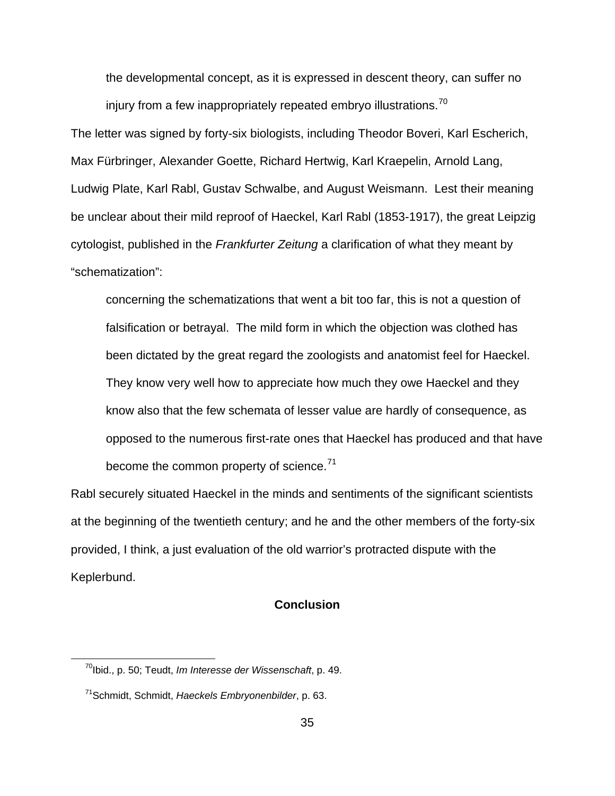the developmental concept, as it is expressed in descent theory, can suffer no injury from a few inappropriately repeated embryo illustrations.<sup>[70](#page-34-0)</sup>

The letter was signed by forty-six biologists, including Theodor Boveri, Karl Escherich, Max Fürbringer, Alexander Goette, Richard Hertwig, Karl Kraepelin, Arnold Lang, Ludwig Plate, Karl Rabl, Gustav Schwalbe, and August Weismann. Lest their meaning be unclear about their mild reproof of Haeckel, Karl Rabl (1853-1917), the great Leipzig cytologist, published in the *Frankfurter Zeitung* a clarification of what they meant by "schematization":

concerning the schematizations that went a bit too far, this is not a question of falsification or betrayal. The mild form in which the objection was clothed has been dictated by the great regard the zoologists and anatomist feel for Haeckel. They know very well how to appreciate how much they owe Haeckel and they know also that the few schemata of lesser value are hardly of consequence, as opposed to the numerous first-rate ones that Haeckel has produced and that have become the common property of science. $71$ 

Rabl securely situated Haeckel in the minds and sentiments of the significant scientists at the beginning of the twentieth century; and he and the other members of the forty-six provided, I think, a just evaluation of the old warrior's protracted dispute with the Keplerbund.

# **Conclusion**

<span id="page-34-0"></span><sup>70</sup>Ibid., p. 50; Teudt, *Im Interesse der Wissenschaft*, p. 49.

<span id="page-34-1"></span><sup>71</sup>Schmidt, Schmidt, *Haeckels Embryonenbilder*, p. 63.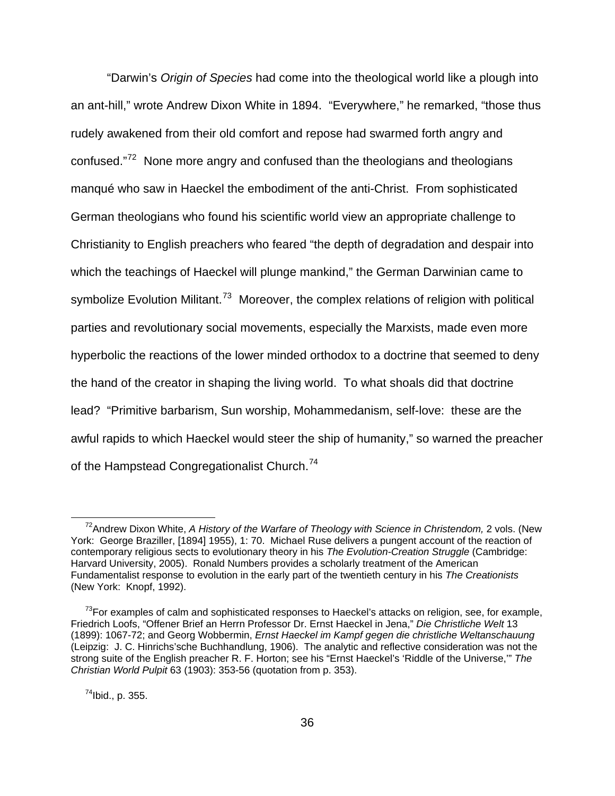"Darwin's *Origin of Species* had come into the theological world like a plough into an ant-hill," wrote Andrew Dixon White in 1894. "Everywhere," he remarked, "those thus rudely awakened from their old comfort and repose had swarmed forth angry and confused."[72](#page-35-0) None more angry and confused than the theologians and theologians manqué who saw in Haeckel the embodiment of the anti-Christ. From sophisticated German theologians who found his scientific world view an appropriate challenge to Christianity to English preachers who feared "the depth of degradation and despair into which the teachings of Haeckel will plunge mankind," the German Darwinian came to symbolize Evolution Militant.<sup>[73](#page-35-1)</sup> Moreover, the complex relations of religion with political parties and revolutionary social movements, especially the Marxists, made even more hyperbolic the reactions of the lower minded orthodox to a doctrine that seemed to deny the hand of the creator in shaping the living world. To what shoals did that doctrine lead? "Primitive barbarism, Sun worship, Mohammedanism, self-love: these are the awful rapids to which Haeckel would steer the ship of humanity," so warned the preacher of the Hampstead Congregationalist Church.<sup>[74](#page-35-2)</sup>

<span id="page-35-2"></span> $^{74}$ Ibid., p. 355.

<span id="page-35-0"></span><sup>&</sup>lt;sup>72</sup>Andrew Dixon White, *A History of the Warfare of Theology with Science in Christendom, 2 vols. (New* York: George Braziller, [1894] 1955), 1: 70. Michael Ruse delivers a pungent account of the reaction of contemporary religious sects to evolutionary theory in his *The Evolution-Creation Struggle* (Cambridge: Harvard University, 2005). Ronald Numbers provides a scholarly treatment of the American Fundamentalist response to evolution in the early part of the twentieth century in his *The Creationists*  (New York: Knopf, 1992).

<span id="page-35-1"></span> $73$ For examples of calm and sophisticated responses to Haeckel's attacks on religion, see, for example, Friedrich Loofs, "Offener Brief an Herrn Professor Dr. Ernst Haeckel in Jena," *Die Christliche Welt* 13 (1899): 1067-72; and Georg Wobbermin, *Ernst Haeckel im Kampf gegen die christliche Weltanschauung*  (Leipzig: J. C. Hinrichs'sche Buchhandlung, 1906). The analytic and reflective consideration was not the strong suite of the English preacher R. F. Horton; see his "Ernst Haeckel's 'Riddle of the Universe,'" *The Christian World Pulpit* 63 (1903): 353-56 (quotation from p. 353).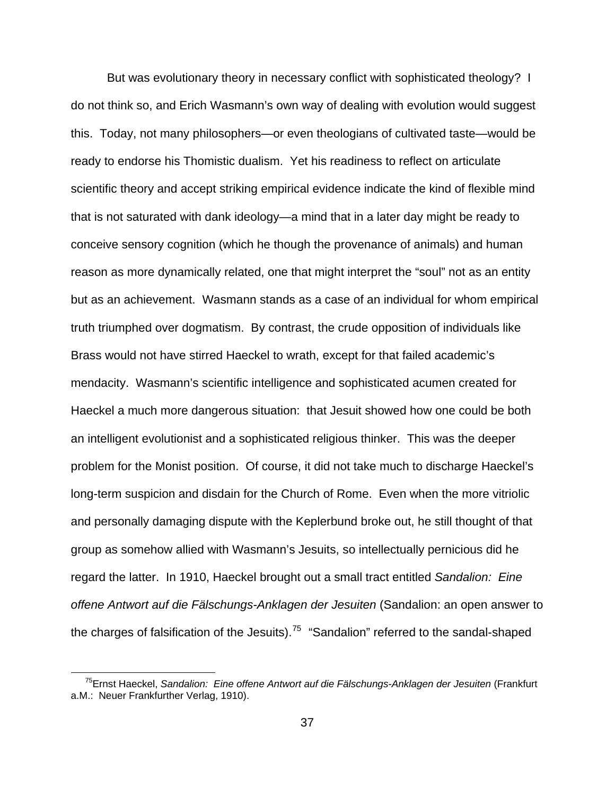But was evolutionary theory in necessary conflict with sophisticated theology? I do not think so, and Erich Wasmann's own way of dealing with evolution would suggest this. Today, not many philosophers—or even theologians of cultivated taste—would be ready to endorse his Thomistic dualism. Yet his readiness to reflect on articulate scientific theory and accept striking empirical evidence indicate the kind of flexible mind that is not saturated with dank ideology—a mind that in a later day might be ready to conceive sensory cognition (which he though the provenance of animals) and human reason as more dynamically related, one that might interpret the "soul" not as an entity but as an achievement. Wasmann stands as a case of an individual for whom empirical truth triumphed over dogmatism. By contrast, the crude opposition of individuals like Brass would not have stirred Haeckel to wrath, except for that failed academic's mendacity. Wasmann's scientific intelligence and sophisticated acumen created for Haeckel a much more dangerous situation: that Jesuit showed how one could be both an intelligent evolutionist and a sophisticated religious thinker. This was the deeper problem for the Monist position. Of course, it did not take much to discharge Haeckel's long-term suspicion and disdain for the Church of Rome. Even when the more vitriolic and personally damaging dispute with the Keplerbund broke out, he still thought of that group as somehow allied with Wasmann's Jesuits, so intellectually pernicious did he regard the latter. In 1910, Haeckel brought out a small tract entitled *Sandalion: Eine offene Antwort auf die Fälschungs-Anklagen der Jesuiten* (Sandalion: an open answer to the charges of falsification of the Jesuits).<sup>[75](#page-36-0)</sup> "Sandalion" referred to the sandal-shaped

<span id="page-36-0"></span><sup>75</sup>Ernst Haeckel, *Sandalion: Eine offene Antwort auf die Fälschungs-Anklagen der Jesuiten* (Frankfurt a.M.: Neuer Frankfurther Verlag, 1910).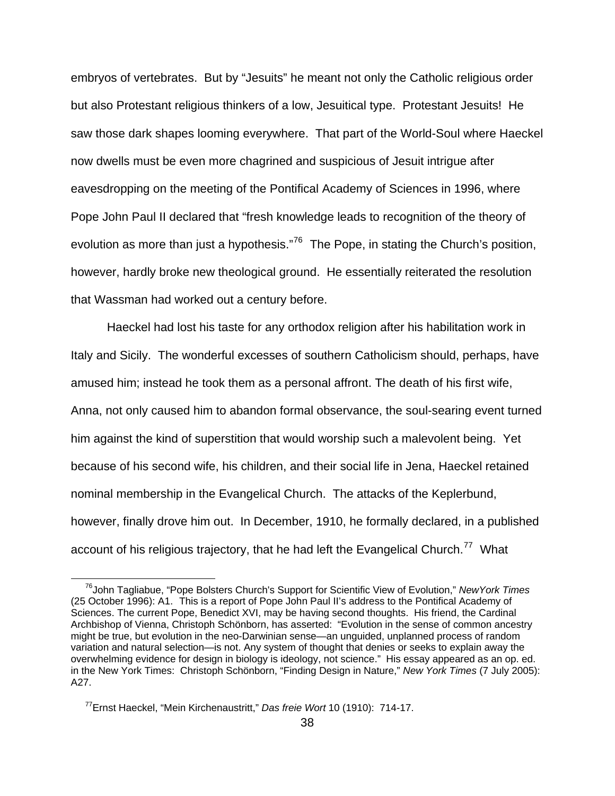embryos of vertebrates. But by "Jesuits" he meant not only the Catholic religious order but also Protestant religious thinkers of a low, Jesuitical type. Protestant Jesuits! He saw those dark shapes looming everywhere. That part of the World-Soul where Haeckel now dwells must be even more chagrined and suspicious of Jesuit intrigue after eavesdropping on the meeting of the Pontifical Academy of Sciences in 1996, where Pope John Paul II declared that "fresh knowledge leads to recognition of the theory of evolution as more than just a hypothesis."<sup>[76](#page-37-0)</sup> The Pope, in stating the Church's position, however, hardly broke new theological ground. He essentially reiterated the resolution that Wassman had worked out a century before.

 Haeckel had lost his taste for any orthodox religion after his habilitation work in Italy and Sicily. The wonderful excesses of southern Catholicism should, perhaps, have amused him; instead he took them as a personal affront. The death of his first wife, Anna, not only caused him to abandon formal observance, the soul-searing event turned him against the kind of superstition that would worship such a malevolent being. Yet because of his second wife, his children, and their social life in Jena, Haeckel retained nominal membership in the Evangelical Church. The attacks of the Keplerbund, however, finally drove him out. In December, 1910, he formally declared, in a published account of his religious trajectory, that he had left the Evangelical Church.<sup>[77](#page-37-1)</sup> What

<span id="page-37-0"></span> <sup>76</sup>John Tagliabue, "Pope Bolsters Church's Support for Scientific View of Evolution," *NewYork Times* (25 October 1996): A1.This is a report of Pope John Paul II's address to the Pontifical Academy of Sciences. The current Pope, Benedict XVI, may be having second thoughts. His friend, the Cardinal Archbishop of Vienna, Christoph Schönborn, has asserted: "Evolution in the sense of common ancestry might be true, but evolution in the neo-Darwinian sense—an unguided, unplanned process of random variation and natural selection—is not. Any system of thought that denies or seeks to explain away the overwhelming evidence for design in biology is ideology, not science." His essay appeared as an op. ed. in the New York Times: Christoph Schönborn, "Finding Design in Nature," *New York Times* (7 July 2005): A27.

<span id="page-37-1"></span><sup>77</sup>Ernst Haeckel, "Mein Kirchenaustritt," *Das freie Wort* 10 (1910): 714-17.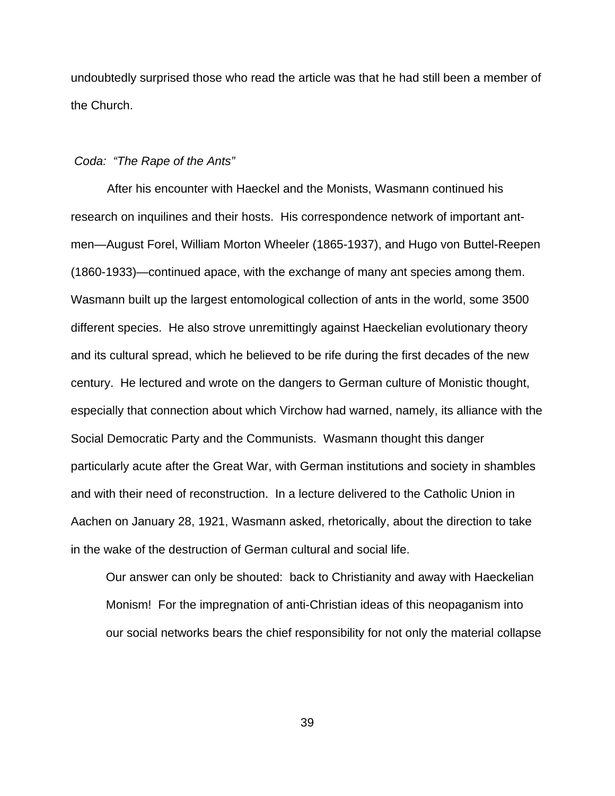undoubtedly surprised those who read the article was that he had still been a member of the Church.

#### *Coda: "The Rape of the Ants"*

 After his encounter with Haeckel and the Monists, Wasmann continued his research on inquilines and their hosts. His correspondence network of important antmen—August Forel, William Morton Wheeler (1865-1937), and Hugo von Buttel-Reepen (1860-1933)—continued apace, with the exchange of many ant species among them. Wasmann built up the largest entomological collection of ants in the world, some 3500 different species. He also strove unremittingly against Haeckelian evolutionary theory and its cultural spread, which he believed to be rife during the first decades of the new century. He lectured and wrote on the dangers to German culture of Monistic thought, especially that connection about which Virchow had warned, namely, its alliance with the Social Democratic Party and the Communists. Wasmann thought this danger particularly acute after the Great War, with German institutions and society in shambles and with their need of reconstruction. In a lecture delivered to the Catholic Union in Aachen on January 28, 1921, Wasmann asked, rhetorically, about the direction to take in the wake of the destruction of German cultural and social life.

Our answer can only be shouted: back to Christianity and away with Haeckelian Monism! For the impregnation of anti-Christian ideas of this neopaganism into our social networks bears the chief responsibility for not only the material collapse

39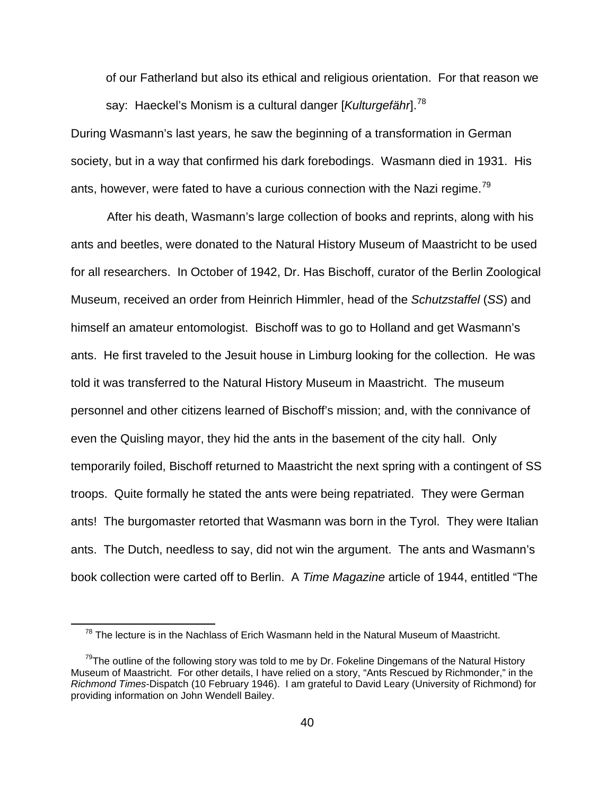of our Fatherland but also its ethical and religious orientation. For that reason we say: Haeckel's Monism is a cultural danger [*Kulturgefähr*].[78](#page-39-0)

During Wasmann's last years, he saw the beginning of a transformation in German society, but in a way that confirmed his dark forebodings. Wasmann died in 1931. His ants, however, were fated to have a curious connection with the Nazi regime.<sup>[79](#page-39-1)</sup>

 After his death, Wasmann's large collection of books and reprints, along with his ants and beetles, were donated to the Natural History Museum of Maastricht to be used for all researchers. In October of 1942, Dr. Has Bischoff, curator of the Berlin Zoological Museum, received an order from Heinrich Himmler, head of the *Schutzstaffel* (*SS*) and himself an amateur entomologist. Bischoff was to go to Holland and get Wasmann's ants. He first traveled to the Jesuit house in Limburg looking for the collection. He was told it was transferred to the Natural History Museum in Maastricht. The museum personnel and other citizens learned of Bischoff's mission; and, with the connivance of even the Quisling mayor, they hid the ants in the basement of the city hall. Only temporarily foiled, Bischoff returned to Maastricht the next spring with a contingent of SS troops. Quite formally he stated the ants were being repatriated. They were German ants! The burgomaster retorted that Wasmann was born in the Tyrol. They were Italian ants. The Dutch, needless to say, did not win the argument. The ants and Wasmann's book collection were carted off to Berlin. A *Time Magazine* article of 1944, entitled "The

 $78$  The lecture is in the Nachlass of Erich Wasmann held in the Natural Museum of Maastricht.

<span id="page-39-1"></span><span id="page-39-0"></span> $79$ The outline of the following story was told to me by Dr. Fokeline Dingemans of the Natural History Museum of Maastricht. For other details, I have relied on a story, "Ants Rescued by Richmonder," in the *Richmond Times*-Dispatch (10 February 1946). I am grateful to David Leary (University of Richmond) for providing information on John Wendell Bailey.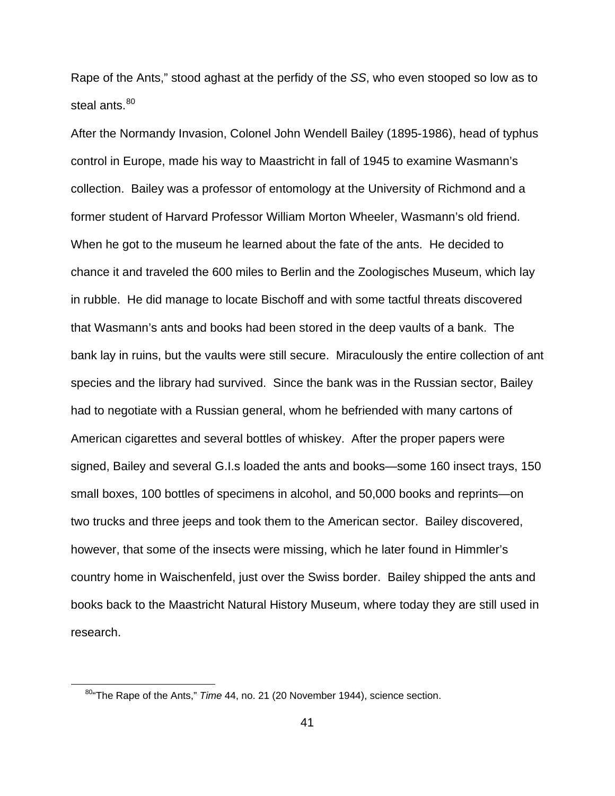Rape of the Ants," stood aghast at the perfidy of the *SS*, who even stooped so low as to steal ants.<sup>[80](#page-40-0)</sup>

After the Normandy Invasion, Colonel John Wendell Bailey (1895-1986), head of typhus control in Europe, made his way to Maastricht in fall of 1945 to examine Wasmann's collection. Bailey was a professor of entomology at the University of Richmond and a former student of Harvard Professor William Morton Wheeler, Wasmann's old friend. When he got to the museum he learned about the fate of the ants. He decided to chance it and traveled the 600 miles to Berlin and the Zoologisches Museum, which lay in rubble. He did manage to locate Bischoff and with some tactful threats discovered that Wasmann's ants and books had been stored in the deep vaults of a bank. The bank lay in ruins, but the vaults were still secure. Miraculously the entire collection of ant species and the library had survived. Since the bank was in the Russian sector, Bailey had to negotiate with a Russian general, whom he befriended with many cartons of American cigarettes and several bottles of whiskey. After the proper papers were signed, Bailey and several G.I.s loaded the ants and books—some 160 insect trays, 150 small boxes, 100 bottles of specimens in alcohol, and 50,000 books and reprints—on two trucks and three jeeps and took them to the American sector. Bailey discovered, however, that some of the insects were missing, which he later found in Himmler's country home in Waischenfeld, just over the Swiss border. Bailey shipped the ants and books back to the Maastricht Natural History Museum, where today they are still used in research.

<span id="page-40-0"></span><sup>80&</sup>quot;The Rape of the Ants," *Time* 44, no. 21 (20 November 1944), science section.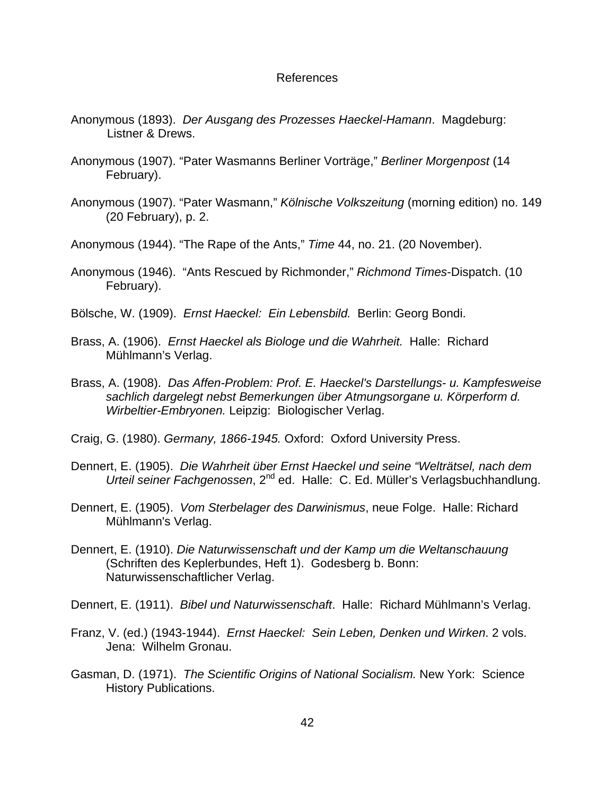### References

- Anonymous (1893). *Der Ausgang des Prozesses Haeckel-Hamann*. Magdeburg: Listner & Drews.
- Anonymous (1907). "Pater Wasmanns Berliner Vorträge," *Berliner Morgenpost* (14 February).
- Anonymous (1907). "Pater Wasmann," *Kölnische Volkszeitung* (morning edition) no. 149 (20 February), p. 2.
- Anonymous (1944). "The Rape of the Ants," *Time* 44, no. 21. (20 November).
- Anonymous (1946). "Ants Rescued by Richmonder," *Richmond Times*-Dispatch. (10 February).
- Bölsche, W. (1909). *Ernst Haeckel: Ein Lebensbild.* Berlin: Georg Bondi.
- Brass, A. (1906). *Ernst Haeckel als Biologe und die Wahrheit.* Halle: Richard Mühlmann's Verlag.
- Brass, A. (1908). *Das Affen-Problem: Prof. E. Haeckel's Darstellungs- u. Kampfesweise sachlich dargelegt nebst Bemerkungen über Atmungsorgane u. Körperform d. Wirbeltier-Embryonen.* Leipzig: Biologischer Verlag.
- Craig, G. (1980). *Germany, 1866-1945.* Oxford: Oxford University Press.
- Dennert, E. (1905). *Die Wahrheit über Ernst Haeckel und seine "Welträtsel, nach dem Urteil seiner Fachgenossen*, 2nd ed. Halle: C. Ed. Müller's Verlagsbuchhandlung.
- Dennert, E. (1905). *Vom Sterbelager des Darwinismus*, neue Folge. Halle: Richard Mühlmann's Verlag.
- Dennert, E. (1910). *Die Naturwissenschaft und der Kamp um die Weltanschauung* (Schriften des Keplerbundes, Heft 1). Godesberg b. Bonn: Naturwissenschaftlicher Verlag.
- Dennert, E. (1911). *Bibel und Naturwissenschaft*. Halle: Richard Mühlmann's Verlag.
- Franz, V. (ed.) (1943-1944). *Ernst Haeckel: Sein Leben, Denken und Wirken*. 2 vols. Jena: Wilhelm Gronau.
- Gasman, D. (1971). *The Scientific Origins of National Socialism.* New York: Science History Publications.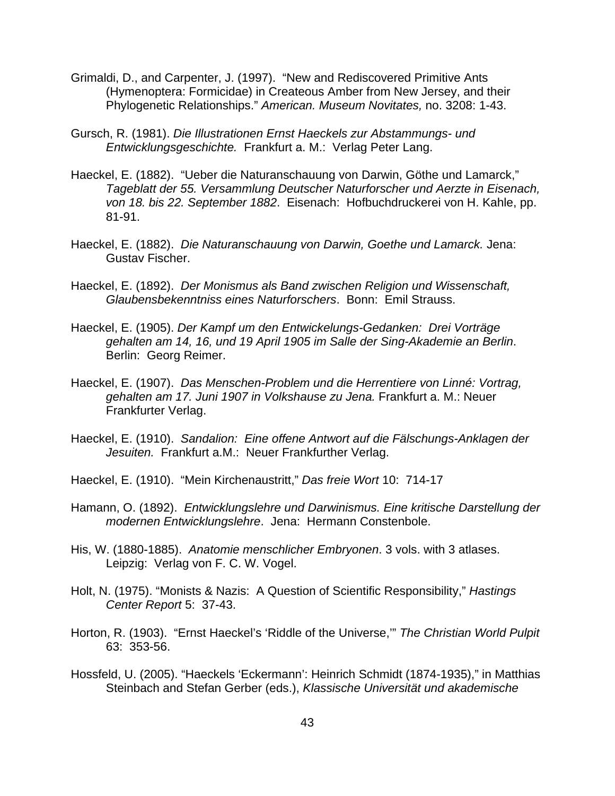- Grimaldi, D., and Carpenter, J. (1997). "New and Rediscovered Primitive Ants (Hymenoptera: Formicidae) in Createous Amber from New Jersey, and their Phylogenetic Relationships." *American. Museum Novitates,* no. 3208: 1-43.
- Gursch, R. (1981). *Die Illustrationen Ernst Haeckels zur Abstammungs- und Entwicklungsgeschichte.* Frankfurt a. M.: Verlag Peter Lang.
- Haeckel, E. (1882). "Ueber die Naturanschauung von Darwin, Göthe und Lamarck," *Tageblatt der 55. Versammlung Deutscher Naturforscher und Aerzte in Eisenach, von 18. bis 22. September 1882*. Eisenach: Hofbuchdruckerei von H. Kahle, pp. 81-91.
- Haeckel, E. (1882). *Die Naturanschauung von Darwin, Goethe und Lamarck.* Jena: Gustav Fischer.
- Haeckel, E. (1892). *Der Monismus als Band zwischen Religion und Wissenschaft, Glaubensbekenntniss eines Naturforschers*. Bonn: Emil Strauss.
- Haeckel, E. (1905). *Der Kampf um den Entwickelungs-Gedanken: Drei Vorträge gehalten am 14, 16, und 19 April 1905 im Salle der Sing-Akademie an Berlin*. Berlin: Georg Reimer.
- Haeckel, E. (1907). *Das Menschen-Problem und die Herrentiere von Linné: Vortrag, gehalten am 17. Juni 1907 in Volkshause zu Jena.* Frankfurt a. M.: Neuer Frankfurter Verlag.
- Haeckel, E. (1910). *Sandalion: Eine offene Antwort auf die Fälschungs-Anklagen der Jesuiten.* Frankfurt a.M.: Neuer Frankfurther Verlag.
- Haeckel, E. (1910). "Mein Kirchenaustritt," *Das freie Wort* 10: 714-17
- Hamann, O. (1892). *Entwicklungslehre und Darwinismus. Eine kritische Darstellung der modernen Entwicklungslehre*. Jena: Hermann Constenbole.
- His, W. (1880-1885). *Anatomie menschlicher Embryonen*. 3 vols. with 3 atlases. Leipzig: Verlag von F. C. W. Vogel.
- Holt, N. (1975). "Monists & Nazis: A Question of Scientific Responsibility," *Hastings Center Report* 5: 37-43.
- Horton, R. (1903). "Ernst Haeckel's 'Riddle of the Universe,'" *The Christian World Pulpit* 63: 353-56.
- Hossfeld, U. (2005). "Haeckels 'Eckermann': Heinrich Schmidt (1874-1935)," in Matthias Steinbach and Stefan Gerber (eds.), *Klassische Universität und akademische*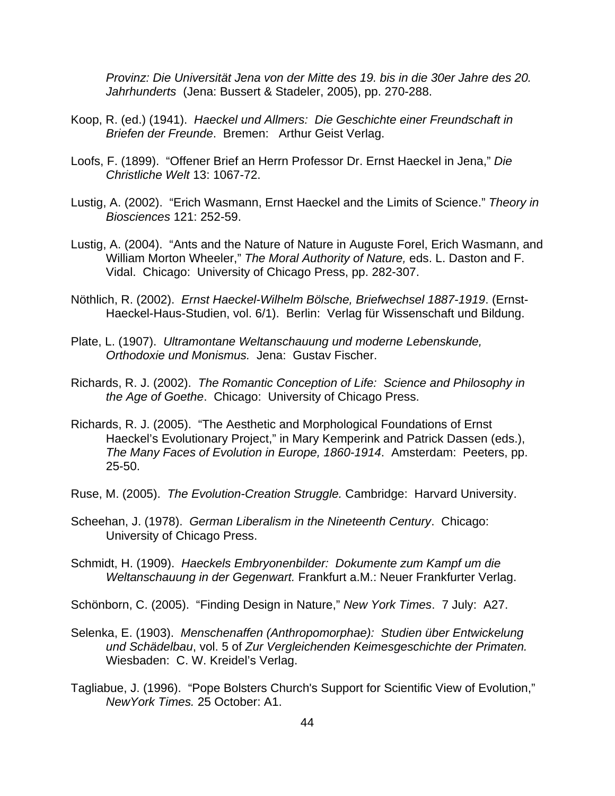*Provinz: Die Universität Jena von der Mitte des 19. bis in die 30er Jahre des 20. Jahrhunderts* (Jena: Bussert & Stadeler, 2005), pp. 270-288.

- Koop, R. (ed.) (1941). *Haeckel und Allmers: Die Geschichte einer Freundschaft in Briefen der Freunde*. Bremen: Arthur Geist Verlag.
- Loofs, F. (1899). "Offener Brief an Herrn Professor Dr. Ernst Haeckel in Jena," *Die Christliche Welt* 13: 1067-72.
- Lustig, A. (2002). "Erich Wasmann, Ernst Haeckel and the Limits of Science." *Theory in Biosciences* 121: 252-59.
- Lustig, A. (2004). "Ants and the Nature of Nature in Auguste Forel, Erich Wasmann, and William Morton Wheeler," *The Moral Authority of Nature,* eds. L. Daston and F. Vidal. Chicago: University of Chicago Press, pp. 282-307.
- Nöthlich, R. (2002). *Ernst Haeckel-Wilhelm Bölsche, Briefwechsel 1887-1919*. (Ernst-Haeckel-Haus-Studien, vol. 6/1). Berlin: Verlag für Wissenschaft und Bildung.
- Plate, L. (1907). *Ultramontane Weltanschauung und moderne Lebenskunde, Orthodoxie und Monismus.* Jena: Gustav Fischer.
- Richards, R. J. (2002). *The Romantic Conception of Life: Science and Philosophy in the Age of Goethe*. Chicago: University of Chicago Press.
- Richards, R. J. (2005). "The Aesthetic and Morphological Foundations of Ernst Haeckel's Evolutionary Project," in Mary Kemperink and Patrick Dassen (eds.), *The Many Faces of Evolution in Europe, 1860-1914*. Amsterdam: Peeters, pp. 25-50.
- Ruse, M. (2005). *The Evolution-Creation Struggle.* Cambridge: Harvard University.
- Scheehan, J. (1978). *German Liberalism in the Nineteenth Century*. Chicago: University of Chicago Press.
- Schmidt, H. (1909). *Haeckels Embryonenbilder: Dokumente zum Kampf um die Weltanschauung in der Gegenwart.* Frankfurt a.M.: Neuer Frankfurter Verlag.
- Schönborn, C. (2005). "Finding Design in Nature," *New York Times*. 7 July: A27.
- Selenka, E. (1903). *Menschenaffen (Anthropomorphae): Studien über Entwickelung und Schädelbau*, vol. 5 of *Zur Vergleichenden Keimesgeschichte der Primaten.*  Wiesbaden: C. W. Kreidel's Verlag.
- Tagliabue, J. (1996). "Pope Bolsters Church's Support for Scientific View of Evolution," *NewYork Times.* 25 October: A1.